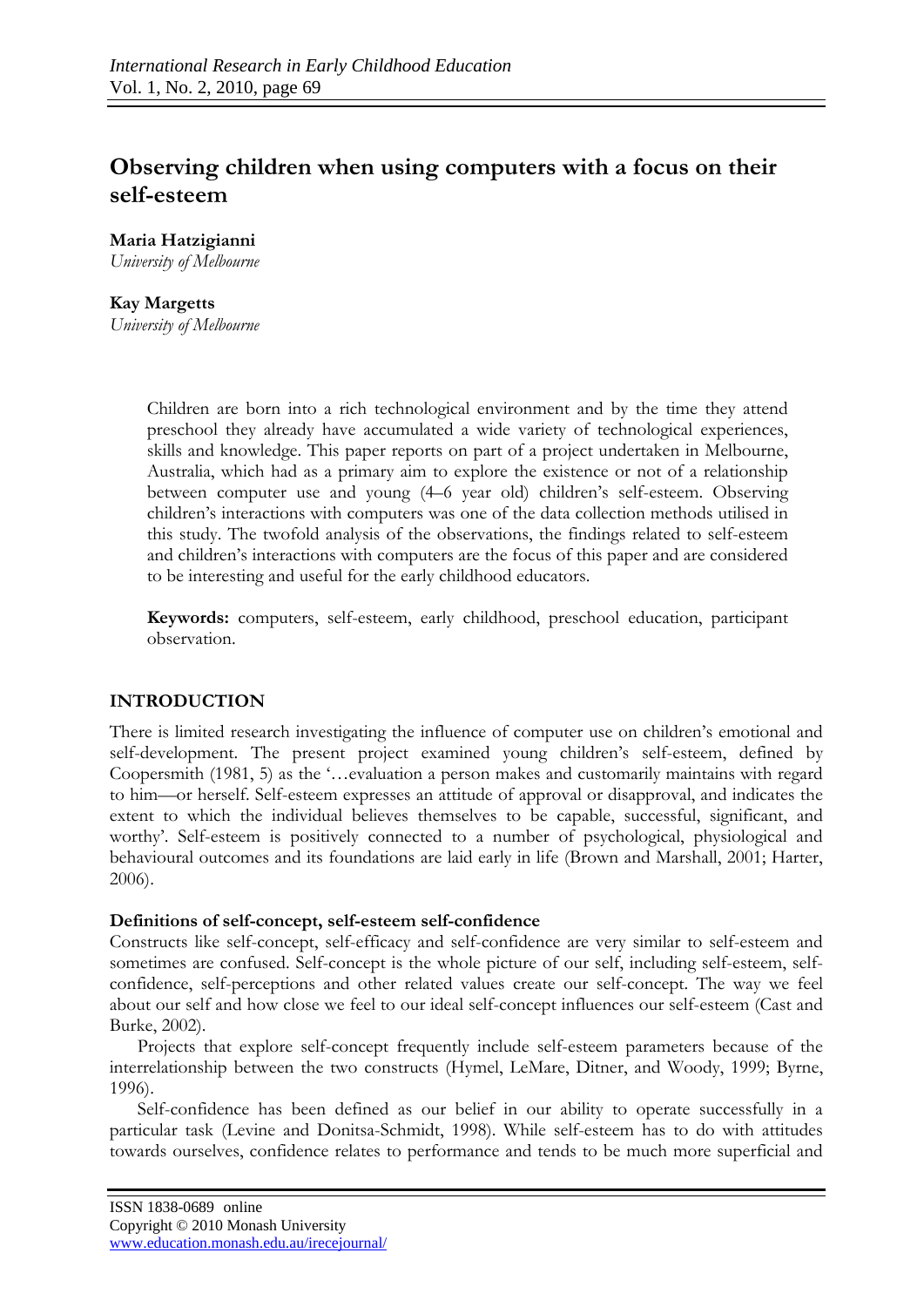# **Observing children when using computers with a focus on their self-esteem**

**Maria Hatzigianni** *University of Melbourne* 

## **Kay Margetts**

*University of Melbourne* 

Children are born into a rich technological environment and by the time they attend preschool they already have accumulated a wide variety of technological experiences, skills and knowledge. This paper reports on part of a project undertaken in Melbourne, Australia, which had as a primary aim to explore the existence or not of a relationship between computer use and young (4–6 year old) children's self-esteem. Observing children's interactions with computers was one of the data collection methods utilised in this study. The twofold analysis of the observations, the findings related to self-esteem and children's interactions with computers are the focus of this paper and are considered to be interesting and useful for the early childhood educators.

**Keywords:** computers, self-esteem, early childhood, preschool education, participant observation.

## **INTRODUCTION**

There is limited research investigating the influence of computer use on children's emotional and self-development. The present project examined young children's self-esteem, defined by Coopersmith (1981, 5) as the '…evaluation a person makes and customarily maintains with regard to him—or herself. Self-esteem expresses an attitude of approval or disapproval, and indicates the extent to which the individual believes themselves to be capable, successful, significant, and worthy'. Self-esteem is positively connected to a number of psychological, physiological and behavioural outcomes and its foundations are laid early in life (Brown and Marshall, 2001; Harter, 2006).

### **Definitions of self-concept, self-esteem self-confidence**

Constructs like self-concept, self-efficacy and self-confidence are very similar to self-esteem and sometimes are confused. Self-concept is the whole picture of our self, including self-esteem, selfconfidence, self-perceptions and other related values create our self-concept. The way we feel about our self and how close we feel to our ideal self-concept influences our self-esteem (Cast and Burke, 2002).

Projects that explore self-concept frequently include self-esteem parameters because of the interrelationship between the two constructs (Hymel, LeMare, Ditner, and Woody, 1999; Byrne, 1996).

Self-confidence has been defined as our belief in our ability to operate successfully in a particular task (Levine and Donitsa-Schmidt, 1998). While self-esteem has to do with attitudes towards ourselves, confidence relates to performance and tends to be much more superficial and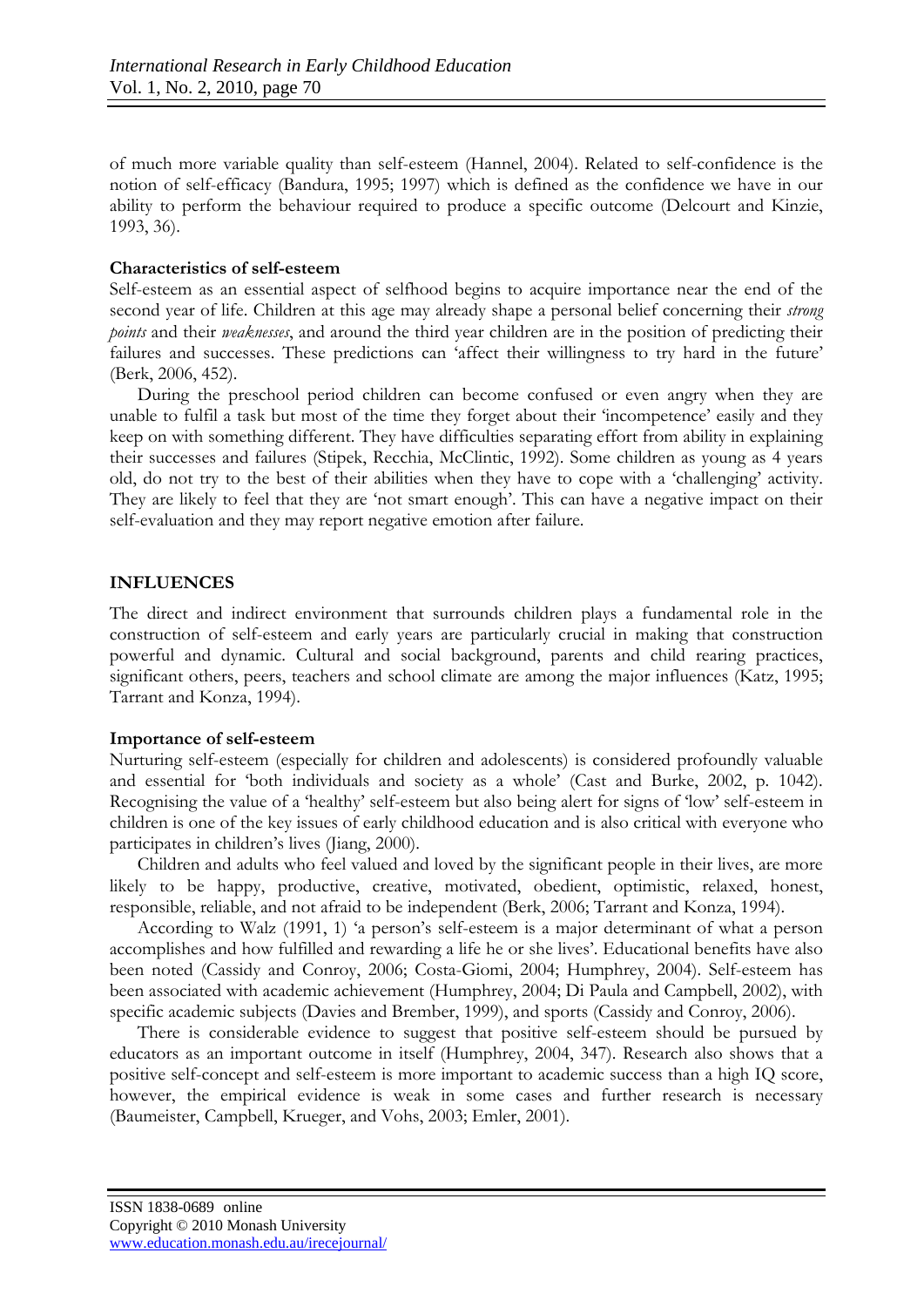of much more variable quality than self-esteem (Hannel, 2004). Related to self-confidence is the notion of self-efficacy (Bandura, 1995; 1997) which is defined as the confidence we have in our ability to perform the behaviour required to produce a specific outcome (Delcourt and Kinzie, 1993, 36).

## **Characteristics of self-esteem**

Self-esteem as an essential aspect of selfhood begins to acquire importance near the end of the second year of life. Children at this age may already shape a personal belief concerning their *strong points* and their *weaknesses*, and around the third year children are in the position of predicting their failures and successes. These predictions can 'affect their willingness to try hard in the future' (Berk, 2006, 452).

During the preschool period children can become confused or even angry when they are unable to fulfil a task but most of the time they forget about their 'incompetence' easily and they keep on with something different. They have difficulties separating effort from ability in explaining their successes and failures (Stipek, Recchia, McClintic, 1992). Some children as young as 4 years old, do not try to the best of their abilities when they have to cope with a 'challenging' activity. They are likely to feel that they are 'not smart enough'. This can have a negative impact on their self-evaluation and they may report negative emotion after failure.

## **INFLUENCES**

The direct and indirect environment that surrounds children plays a fundamental role in the construction of self-esteem and early years are particularly crucial in making that construction powerful and dynamic. Cultural and social background, parents and child rearing practices, significant others, peers, teachers and school climate are among the major influences (Katz, 1995; Tarrant and Konza, 1994).

## **Importance of self-esteem**

Nurturing self-esteem (especially for children and adolescents) is considered profoundly valuable and essential for 'both individuals and society as a whole' (Cast and Burke, 2002, p. 1042). Recognising the value of a 'healthy' self-esteem but also being alert for signs of 'low' self-esteem in children is one of the key issues of early childhood education and is also critical with everyone who participates in children's lives (Jiang, 2000).

Children and adults who feel valued and loved by the significant people in their lives, are more likely to be happy, productive, creative, motivated, obedient, optimistic, relaxed, honest, responsible, reliable, and not afraid to be independent (Berk, 2006; Tarrant and Konza, 1994).

According to Walz (1991, 1) 'a person's self-esteem is a major determinant of what a person accomplishes and how fulfilled and rewarding a life he or she lives'. Educational benefits have also been noted (Cassidy and Conroy, 2006; Costa-Giomi, 2004; Humphrey, 2004). Self-esteem has been associated with academic achievement (Humphrey, 2004; Di Paula and Campbell, 2002), with specific academic subjects (Davies and Brember, 1999), and sports (Cassidy and Conroy, 2006).

There is considerable evidence to suggest that positive self-esteem should be pursued by educators as an important outcome in itself (Humphrey, 2004, 347). Research also shows that a positive self-concept and self-esteem is more important to academic success than a high IQ score, however, the empirical evidence is weak in some cases and further research is necessary (Baumeister, Campbell, Krueger, and Vohs, 2003; Emler, 2001).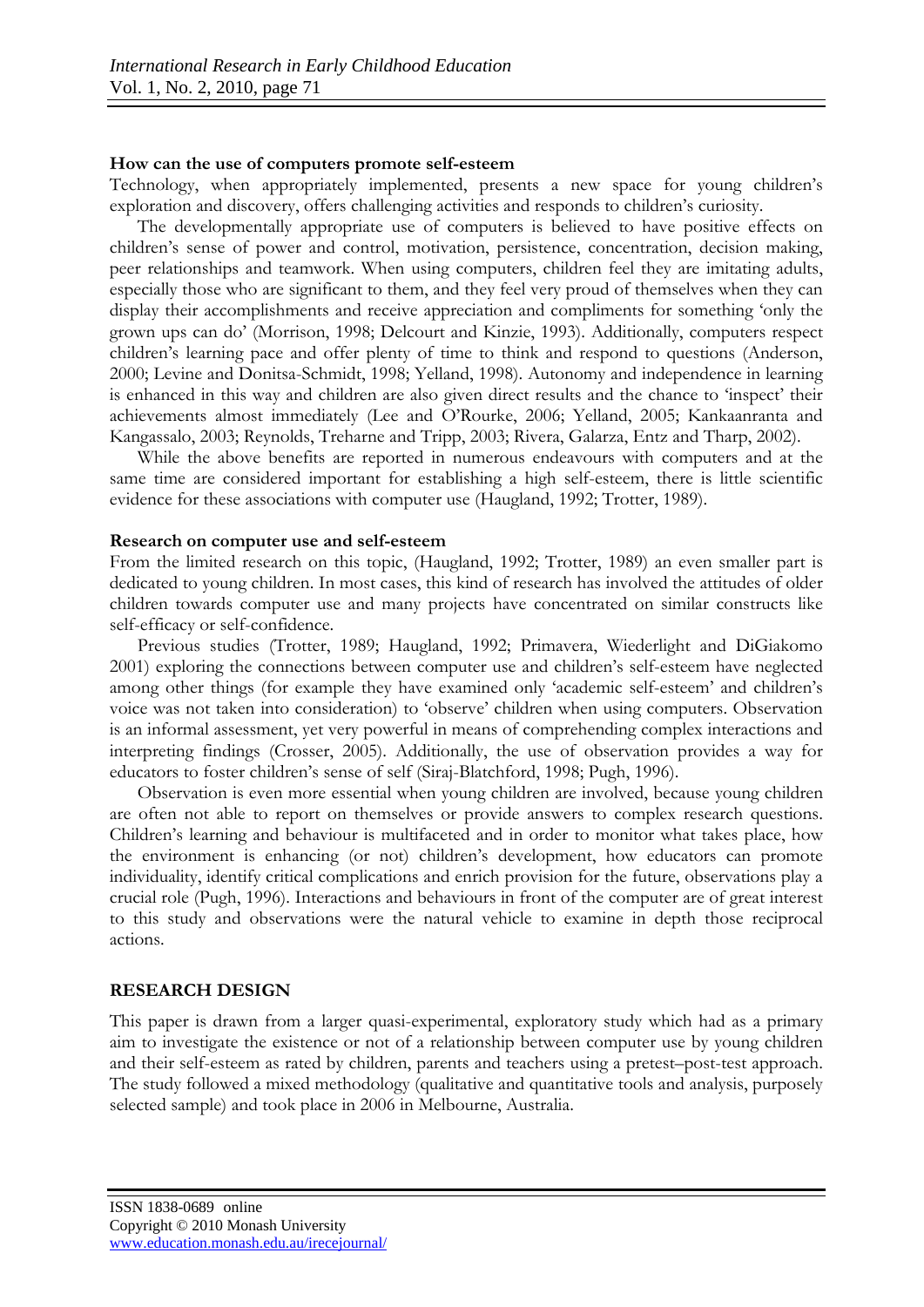### **How can the use of computers promote self-esteem**

Technology, when appropriately implemented, presents a new space for young children's exploration and discovery, offers challenging activities and responds to children's curiosity.

The developmentally appropriate use of computers is believed to have positive effects on children's sense of power and control, motivation, persistence, concentration, decision making, peer relationships and teamwork. When using computers, children feel they are imitating adults, especially those who are significant to them, and they feel very proud of themselves when they can display their accomplishments and receive appreciation and compliments for something 'only the grown ups can do' (Morrison, 1998; Delcourt and Kinzie, 1993). Additionally, computers respect children's learning pace and offer plenty of time to think and respond to questions (Anderson, 2000; Levine and Donitsa-Schmidt, 1998; Yelland, 1998). Autonomy and independence in learning is enhanced in this way and children are also given direct results and the chance to 'inspect' their achievements almost immediately (Lee and O'Rourke, 2006; Yelland, 2005; Kankaanranta and Kangassalo, 2003; Reynolds, Treharne and Tripp, 2003; Rivera, Galarza, Entz and Tharp, 2002).

While the above benefits are reported in numerous endeavours with computers and at the same time are considered important for establishing a high self-esteem, there is little scientific evidence for these associations with computer use (Haugland, 1992; Trotter, 1989).

### **Research on computer use and self-esteem**

From the limited research on this topic, (Haugland, 1992; Trotter, 1989) an even smaller part is dedicated to young children. In most cases, this kind of research has involved the attitudes of older children towards computer use and many projects have concentrated on similar constructs like self-efficacy or self-confidence.

Previous studies (Trotter, 1989; Haugland, 1992; Primavera, Wiederlight and DiGiakomo 2001) exploring the connections between computer use and children's self-esteem have neglected among other things (for example they have examined only 'academic self-esteem' and children's voice was not taken into consideration) to 'observe' children when using computers. Observation is an informal assessment, yet very powerful in means of comprehending complex interactions and interpreting findings (Crosser, 2005). Additionally, the use of observation provides a way for educators to foster children's sense of self (Siraj-Blatchford, 1998; Pugh, 1996).

Observation is even more essential when young children are involved, because young children are often not able to report on themselves or provide answers to complex research questions. Children's learning and behaviour is multifaceted and in order to monitor what takes place, how the environment is enhancing (or not) children's development, how educators can promote individuality, identify critical complications and enrich provision for the future, observations play a crucial role (Pugh, 1996). Interactions and behaviours in front of the computer are of great interest to this study and observations were the natural vehicle to examine in depth those reciprocal actions.

### **RESEARCH DESIGN**

This paper is drawn from a larger quasi-experimental, exploratory study which had as a primary aim to investigate the existence or not of a relationship between computer use by young children and their self-esteem as rated by children, parents and teachers using a pretest–post-test approach. The study followed a mixed methodology (qualitative and quantitative tools and analysis, purposely selected sample) and took place in 2006 in Melbourne, Australia.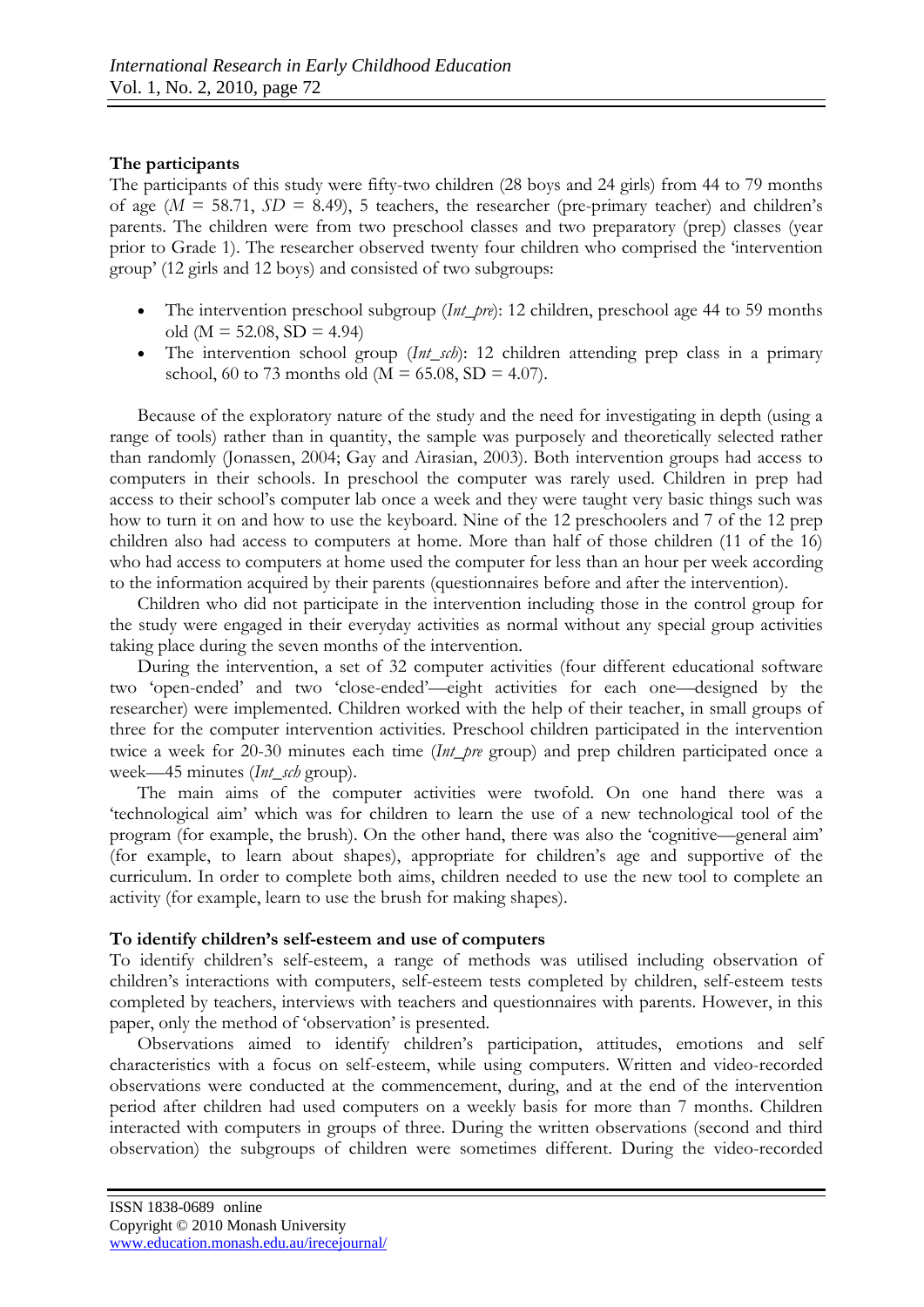## **The participants**

The participants of this study were fifty-two children (28 boys and 24 girls) from 44 to 79 months of age  $(M = 58.71, SD = 8.49)$ , 5 teachers, the researcher (pre-primary teacher) and children's parents. The children were from two preschool classes and two preparatory (prep) classes (year prior to Grade 1). The researcher observed twenty four children who comprised the 'intervention group' (12 girls and 12 boys) and consisted of two subgroups:

- The intervention preschool subgroup (*Int\_pre*): 12 children, preschool age 44 to 59 months old ( $M = 52.08$ ,  $SD = 4.94$ )
- The intervention school group (*Int\_sch*): 12 children attending prep class in a primary school, 60 to 73 months old ( $M = 65.08$ , SD = 4.07).

Because of the exploratory nature of the study and the need for investigating in depth (using a range of tools) rather than in quantity, the sample was purposely and theoretically selected rather than randomly (Jonassen, 2004; Gay and Airasian, 2003). Both intervention groups had access to computers in their schools. In preschool the computer was rarely used. Children in prep had access to their school's computer lab once a week and they were taught very basic things such was how to turn it on and how to use the keyboard. Nine of the 12 preschoolers and 7 of the 12 prep children also had access to computers at home. More than half of those children (11 of the 16) who had access to computers at home used the computer for less than an hour per week according to the information acquired by their parents (questionnaires before and after the intervention).

Children who did not participate in the intervention including those in the control group for the study were engaged in their everyday activities as normal without any special group activities taking place during the seven months of the intervention.

During the intervention, a set of 32 computer activities (four different educational software two 'open-ended' and two 'close-ended'—eight activities for each one—designed by the researcher) were implemented. Children worked with the help of their teacher, in small groups of three for the computer intervention activities. Preschool children participated in the intervention twice a week for 20-30 minutes each time (*Int\_pre* group) and prep children participated once a week—45 minutes (*Int\_sch* group).

The main aims of the computer activities were twofold. On one hand there was a 'technological aim' which was for children to learn the use of a new technological tool of the program (for example, the brush). On the other hand, there was also the 'cognitive—general aim' (for example, to learn about shapes), appropriate for children's age and supportive of the curriculum. In order to complete both aims, children needed to use the new tool to complete an activity (for example, learn to use the brush for making shapes).

### **To identify children's self-esteem and use of computers**

To identify children's self-esteem, a range of methods was utilised including observation of children's interactions with computers, self-esteem tests completed by children, self-esteem tests completed by teachers, interviews with teachers and questionnaires with parents. However, in this paper, only the method of 'observation' is presented.

Observations aimed to identify children's participation, attitudes, emotions and self characteristics with a focus on self-esteem, while using computers. Written and video-recorded observations were conducted at the commencement, during, and at the end of the intervention period after children had used computers on a weekly basis for more than 7 months. Children interacted with computers in groups of three. During the written observations (second and third observation) the subgroups of children were sometimes different. During the video-recorded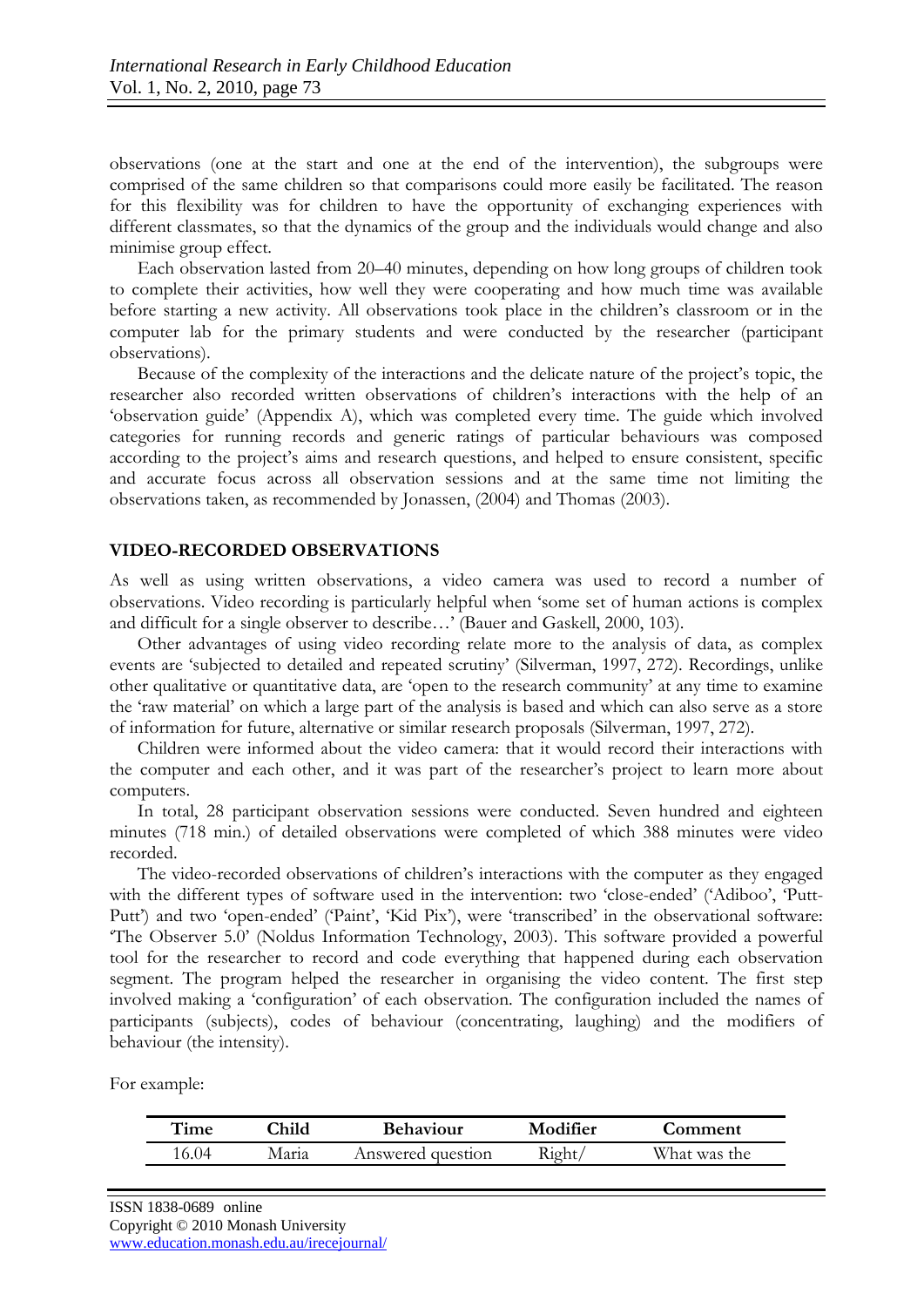observations (one at the start and one at the end of the intervention), the subgroups were comprised of the same children so that comparisons could more easily be facilitated. The reason for this flexibility was for children to have the opportunity of exchanging experiences with different classmates, so that the dynamics of the group and the individuals would change and also minimise group effect.

Each observation lasted from 20–40 minutes, depending on how long groups of children took to complete their activities, how well they were cooperating and how much time was available before starting a new activity. All observations took place in the children's classroom or in the computer lab for the primary students and were conducted by the researcher (participant observations).

Because of the complexity of the interactions and the delicate nature of the project's topic, the researcher also recorded written observations of children's interactions with the help of an 'observation guide' (Appendix A), which was completed every time. The guide which involved categories for running records and generic ratings of particular behaviours was composed according to the project's aims and research questions, and helped to ensure consistent, specific and accurate focus across all observation sessions and at the same time not limiting the observations taken, as recommended by Jonassen, (2004) and Thomas (2003).

## **VIDEO-RECORDED OBSERVATIONS**

As well as using written observations, a video camera was used to record a number of observations. Video recording is particularly helpful when 'some set of human actions is complex and difficult for a single observer to describe…' (Bauer and Gaskell, 2000, 103).

Other advantages of using video recording relate more to the analysis of data, as complex events are 'subjected to detailed and repeated scrutiny' (Silverman, 1997, 272). Recordings, unlike other qualitative or quantitative data, are 'open to the research community' at any time to examine the 'raw material' on which a large part of the analysis is based and which can also serve as a store of information for future, alternative or similar research proposals (Silverman, 1997, 272).

Children were informed about the video camera: that it would record their interactions with the computer and each other, and it was part of the researcher's project to learn more about computers.

In total, 28 participant observation sessions were conducted. Seven hundred and eighteen minutes (718 min.) of detailed observations were completed of which 388 minutes were video recorded.

The video-recorded observations of children's interactions with the computer as they engaged with the different types of software used in the intervention: two 'close-ended' ('Adiboo', 'Putt-Putt') and two 'open-ended' ('Paint', 'Kid Pix'), were 'transcribed' in the observational software: 'The Observer 5.0' (Noldus Information Technology, 2003). This software provided a powerful tool for the researcher to record and code everything that happened during each observation segment. The program helped the researcher in organising the video content. The first step involved making a 'configuration' of each observation. The configuration included the names of participants (subjects), codes of behaviour (concentrating, laughing) and the modifiers of behaviour (the intensity).

For example:

| Time  | `hild | <b>Behaviour</b>  | Modifier | Comment      |
|-------|-------|-------------------|----------|--------------|
| 16.04 | Maria | Answered question | Right,   | What was the |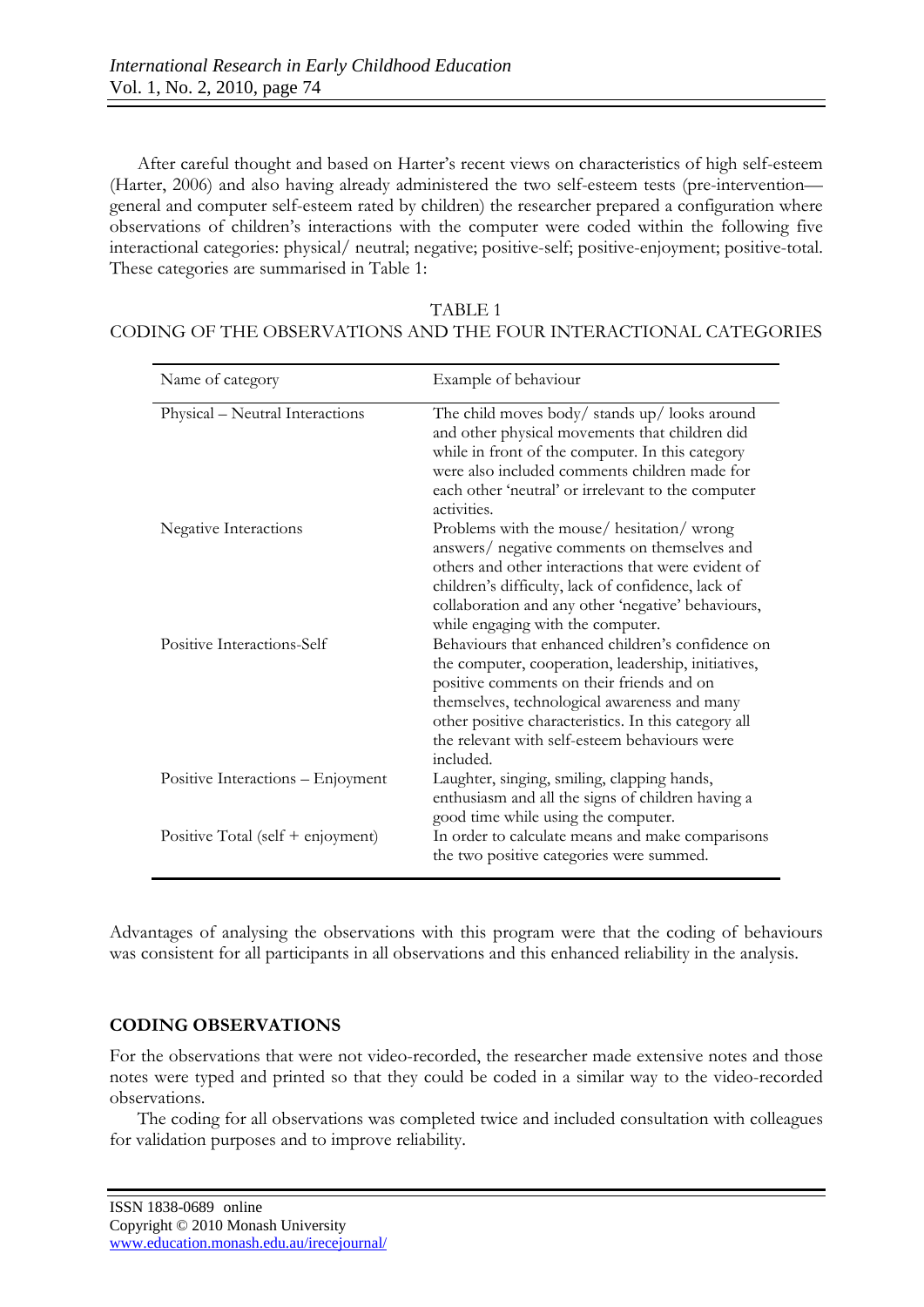After careful thought and based on Harter's recent views on characteristics of high self-esteem (Harter, 2006) and also having already administered the two self-esteem tests (pre-intervention general and computer self-esteem rated by children) the researcher prepared a configuration where observations of children's interactions with the computer were coded within the following five interactional categories: physical/ neutral; negative; positive-self; positive-enjoyment; positive-total. These categories are summarised in Table 1:

| $1$ A DLE. $1$                                                   |
|------------------------------------------------------------------|
| CODING OF THE OBSERVATIONS AND THE FOUR INTERACTIONAL CATEGORIES |
|                                                                  |

 $TATET$  1

| Name of category                  | Example of behaviour                                                                                                                                                                                                                                                                                                        |
|-----------------------------------|-----------------------------------------------------------------------------------------------------------------------------------------------------------------------------------------------------------------------------------------------------------------------------------------------------------------------------|
| Physical - Neutral Interactions   | The child moves body/stands up/looks around<br>and other physical movements that children did<br>while in front of the computer. In this category<br>were also included comments children made for<br>each other 'neutral' or irrelevant to the computer<br>activities.                                                     |
| <b>Negative Interactions</b>      | Problems with the mouse/ hesitation/ wrong<br>answers/ negative comments on themselves and<br>others and other interactions that were evident of<br>children's difficulty, lack of confidence, lack of<br>collaboration and any other 'negative' behaviours,<br>while engaging with the computer.                           |
| Positive Interactions-Self        | Behaviours that enhanced children's confidence on<br>the computer, cooperation, leadership, initiatives,<br>positive comments on their friends and on<br>themselves, technological awareness and many<br>other positive characteristics. In this category all<br>the relevant with self-esteem behaviours were<br>included. |
| Positive Interactions - Enjoyment | Laughter, singing, smiling, clapping hands,<br>enthusiasm and all the signs of children having a<br>good time while using the computer.                                                                                                                                                                                     |
| Positive Total (self + enjoyment) | In order to calculate means and make comparisons<br>the two positive categories were summed.                                                                                                                                                                                                                                |

Advantages of analysing the observations with this program were that the coding of behaviours was consistent for all participants in all observations and this enhanced reliability in the analysis.

## **CODING OBSERVATIONS**

For the observations that were not video-recorded, the researcher made extensive notes and those notes were typed and printed so that they could be coded in a similar way to the video-recorded observations.

The coding for all observations was completed twice and included consultation with colleagues for validation purposes and to improve reliability.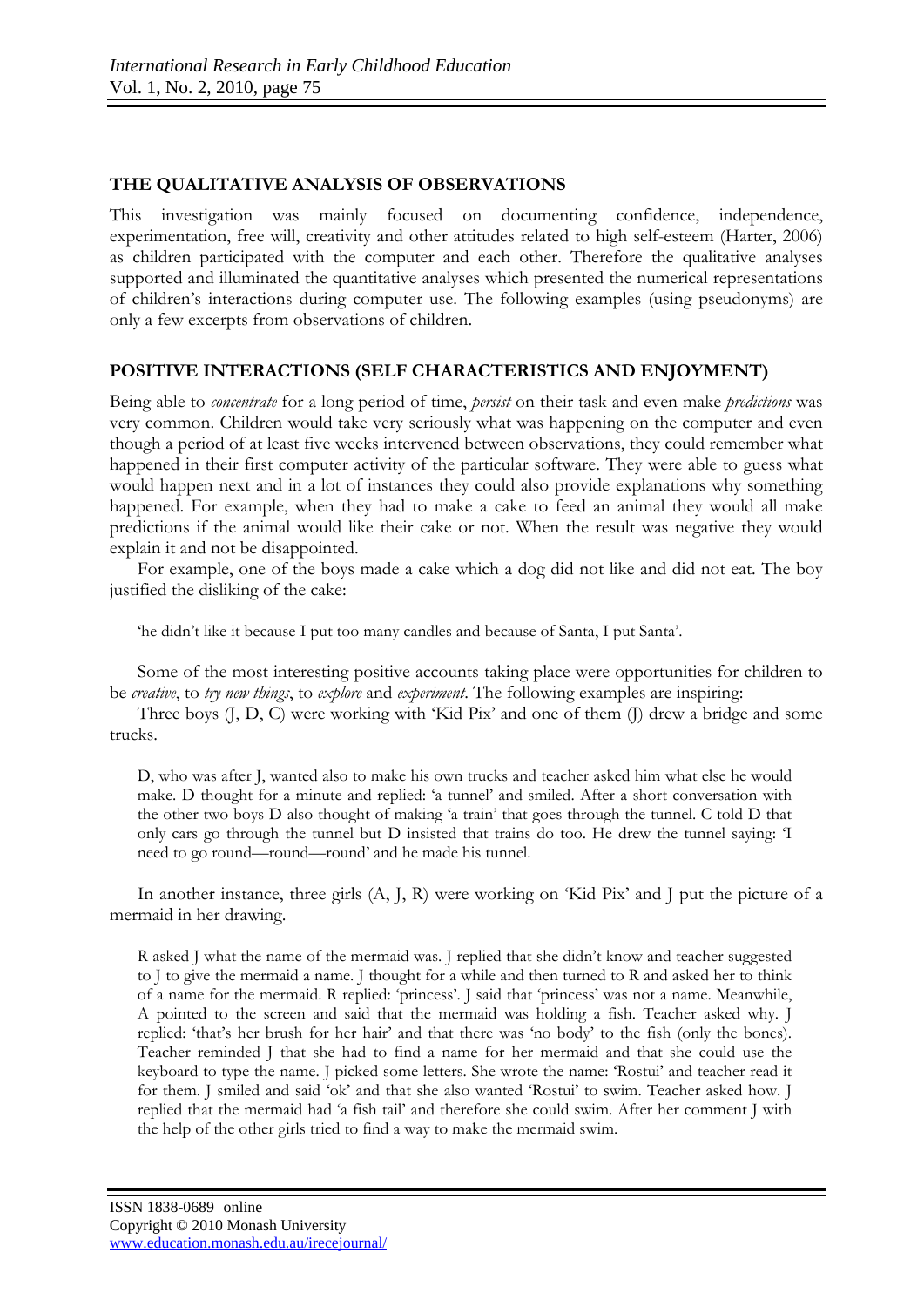## **THE QUALITATIVE ANALYSIS OF OBSERVATIONS**

This investigation was mainly focused on documenting confidence, independence, experimentation, free will, creativity and other attitudes related to high self-esteem (Harter, 2006) as children participated with the computer and each other. Therefore the qualitative analyses supported and illuminated the quantitative analyses which presented the numerical representations of children's interactions during computer use. The following examples (using pseudonyms) are only a few excerpts from observations of children.

## **POSITIVE INTERACTIONS (SELF CHARACTERISTICS AND ENJOYMENT)**

Being able to *concentrate* for a long period of time, *persist* on their task and even make *predictions* was very common. Children would take very seriously what was happening on the computer and even though a period of at least five weeks intervened between observations, they could remember what happened in their first computer activity of the particular software. They were able to guess what would happen next and in a lot of instances they could also provide explanations why something happened. For example, when they had to make a cake to feed an animal they would all make predictions if the animal would like their cake or not. When the result was negative they would explain it and not be disappointed.

For example, one of the boys made a cake which a dog did not like and did not eat. The boy justified the disliking of the cake:

'he didn't like it because I put too many candles and because of Santa, I put Santa'.

Some of the most interesting positive accounts taking place were opportunities for children to be *creative*, to *try new things*, to *explore* and *experiment*. The following examples are inspiring:

Three boys  $(I, D, C)$  were working with 'Kid Pix' and one of them  $(I)$  drew a bridge and some trucks.

D, who was after J, wanted also to make his own trucks and teacher asked him what else he would make. D thought for a minute and replied: 'a tunnel' and smiled. After a short conversation with the other two boys D also thought of making 'a train' that goes through the tunnel. C told D that only cars go through the tunnel but D insisted that trains do too. He drew the tunnel saying: 'I need to go round—round—round' and he made his tunnel.

In another instance, three girls  $(A, I, R)$  were working on 'Kid Pix' and J put the picture of a mermaid in her drawing.

R asked J what the name of the mermaid was. J replied that she didn't know and teacher suggested to J to give the mermaid a name. J thought for a while and then turned to R and asked her to think of a name for the mermaid. R replied: 'princess'. J said that 'princess' was not a name. Meanwhile, A pointed to the screen and said that the mermaid was holding a fish. Teacher asked why. J replied: 'that's her brush for her hair' and that there was 'no body' to the fish (only the bones). Teacher reminded J that she had to find a name for her mermaid and that she could use the keyboard to type the name. J picked some letters. She wrote the name: 'Rostui' and teacher read it for them. J smiled and said 'ok' and that she also wanted 'Rostui' to swim. Teacher asked how. J replied that the mermaid had 'a fish tail' and therefore she could swim. After her comment J with the help of the other girls tried to find a way to make the mermaid swim.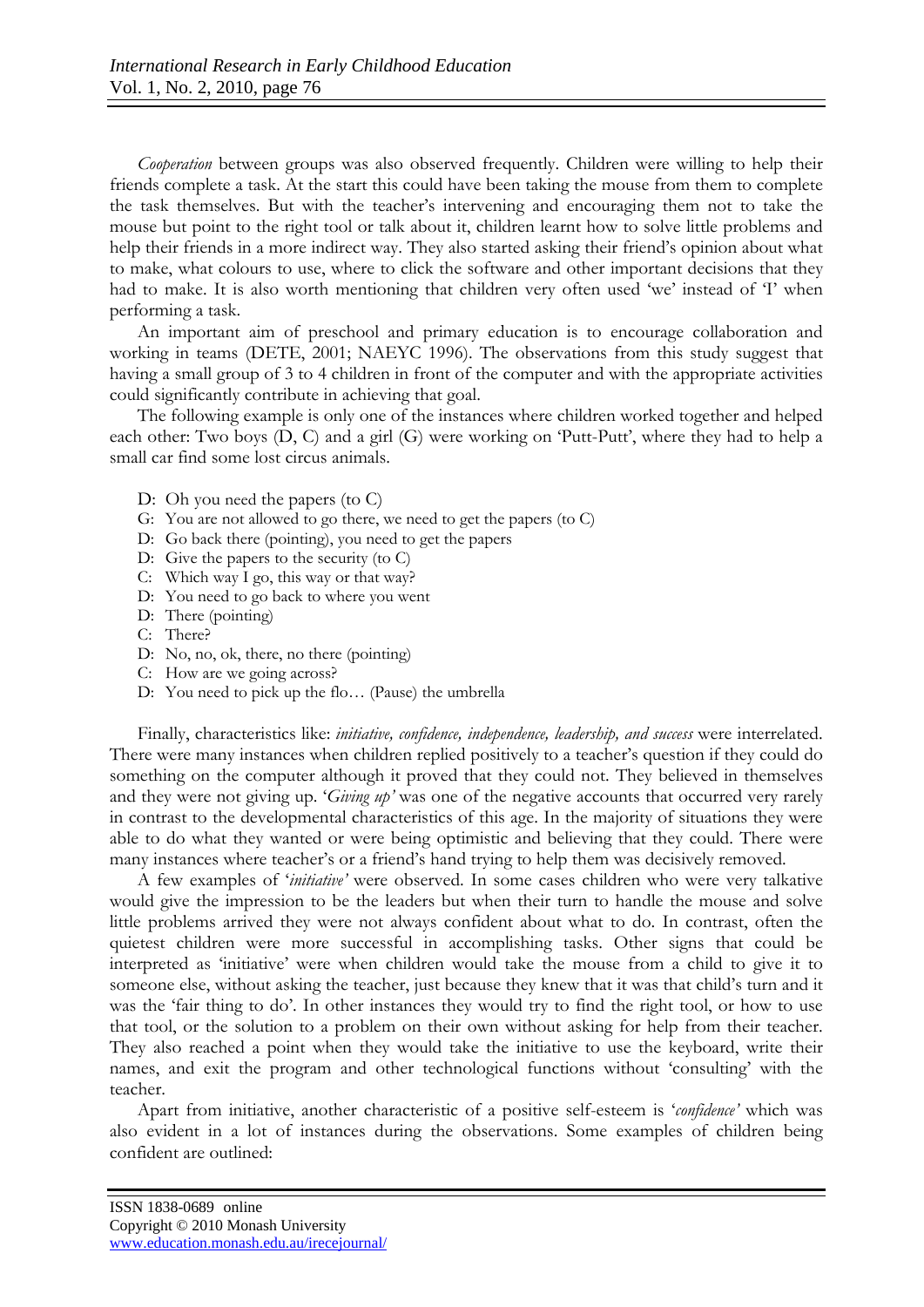*Cooperation* between groups was also observed frequently. Children were willing to help their friends complete a task. At the start this could have been taking the mouse from them to complete the task themselves. But with the teacher's intervening and encouraging them not to take the mouse but point to the right tool or talk about it, children learnt how to solve little problems and help their friends in a more indirect way. They also started asking their friend's opinion about what to make, what colours to use, where to click the software and other important decisions that they had to make. It is also worth mentioning that children very often used 'we' instead of 'I' when performing a task.

An important aim of preschool and primary education is to encourage collaboration and working in teams (DETE, 2001; NAEYC 1996). The observations from this study suggest that having a small group of 3 to 4 children in front of the computer and with the appropriate activities could significantly contribute in achieving that goal.

The following example is only one of the instances where children worked together and helped each other: Two boys (D, C) and a girl (G) were working on 'Putt-Putt', where they had to help a small car find some lost circus animals.

- D: Oh you need the papers (to C)
- G: You are not allowed to go there, we need to get the papers (to C)
- D: Go back there (pointing), you need to get the papers
- D: Give the papers to the security (to C)
- C: Which way I go, this way or that way?
- D: You need to go back to where you went
- D: There (pointing)
- C: There?
- D: No, no, ok, there, no there (pointing)
- C: How are we going across?
- D: You need to pick up the flo… (Pause) the umbrella

Finally, characteristics like: *initiative, confidence, independence, leadership, and success* were interrelated. There were many instances when children replied positively to a teacher's question if they could do something on the computer although it proved that they could not. They believed in themselves and they were not giving up. '*Giving up'* was one of the negative accounts that occurred very rarely in contrast to the developmental characteristics of this age. In the majority of situations they were able to do what they wanted or were being optimistic and believing that they could. There were many instances where teacher's or a friend's hand trying to help them was decisively removed.

A few examples of '*initiative'* were observed. In some cases children who were very talkative would give the impression to be the leaders but when their turn to handle the mouse and solve little problems arrived they were not always confident about what to do. In contrast, often the quietest children were more successful in accomplishing tasks. Other signs that could be interpreted as 'initiative' were when children would take the mouse from a child to give it to someone else, without asking the teacher, just because they knew that it was that child's turn and it was the 'fair thing to do'. In other instances they would try to find the right tool, or how to use that tool, or the solution to a problem on their own without asking for help from their teacher. They also reached a point when they would take the initiative to use the keyboard, write their names, and exit the program and other technological functions without 'consulting' with the teacher.

Apart from initiative, another characteristic of a positive self-esteem is '*confidence'* which was also evident in a lot of instances during the observations. Some examples of children being confident are outlined: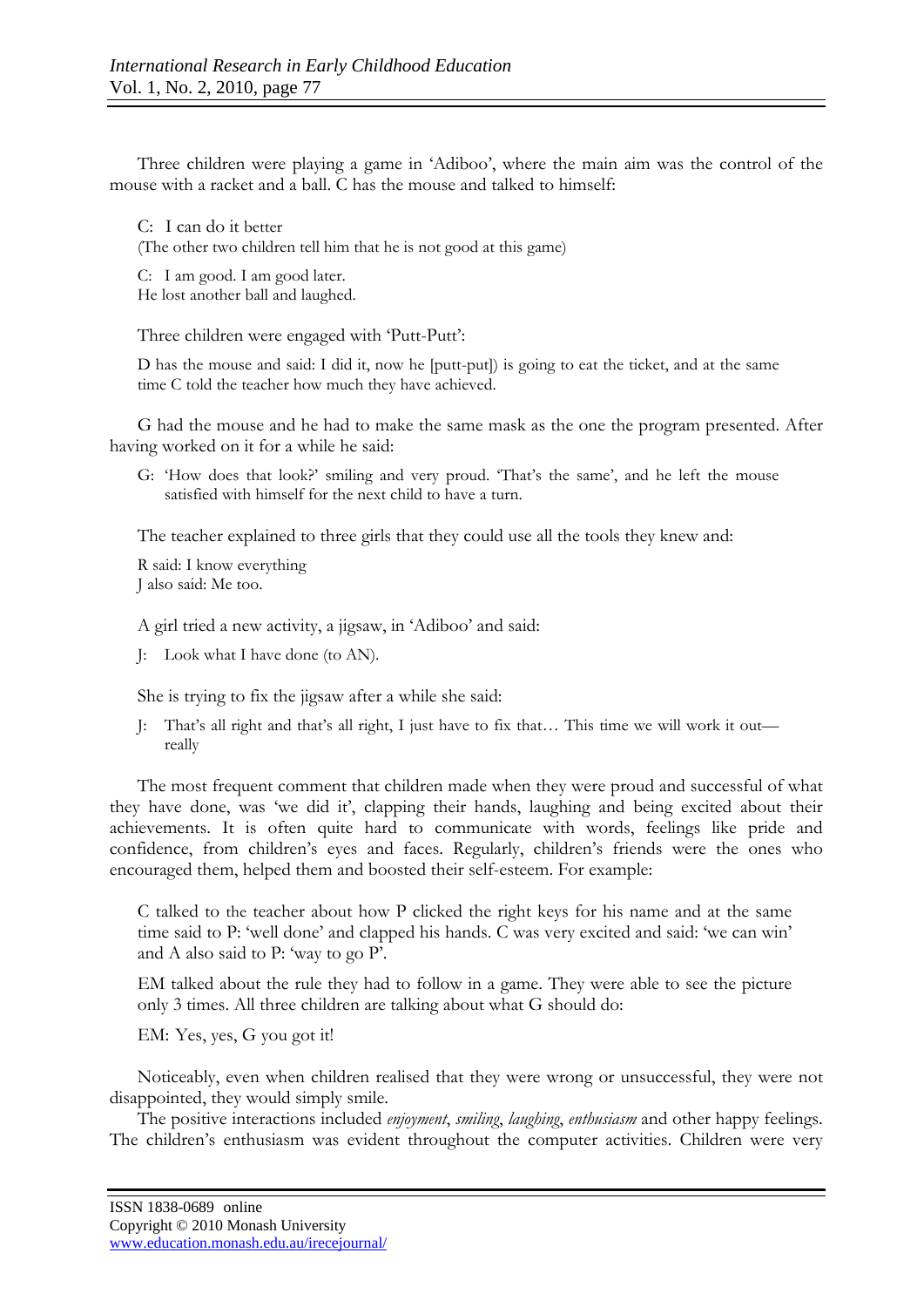Three children were playing a game in 'Adiboo', where the main aim was the control of the mouse with a racket and a ball. C has the mouse and talked to himself:

C: I can do it better

(The other two children tell him that he is not good at this game)

C: I am good. I am good later. He lost another ball and laughed.

Three children were engaged with 'Putt-Putt':

D has the mouse and said: I did it, now he [putt-put]) is going to eat the ticket, and at the same time C told the teacher how much they have achieved.

G had the mouse and he had to make the same mask as the one the program presented. After having worked on it for a while he said:

G: 'How does that look?' smiling and very proud. 'That's the same', and he left the mouse satisfied with himself for the next child to have a turn.

The teacher explained to three girls that they could use all the tools they knew and:

R said: I know everything J also said: Me too.

A girl tried a new activity, a jigsaw, in 'Adiboo' and said:

J: Look what I have done (to AN).

She is trying to fix the jigsaw after a while she said:

J: That's all right and that's all right, I just have to fix that… This time we will work it out really

The most frequent comment that children made when they were proud and successful of what they have done, was 'we did it', clapping their hands, laughing and being excited about their achievements. It is often quite hard to communicate with words, feelings like pride and confidence, from children's eyes and faces. Regularly, children's friends were the ones who encouraged them, helped them and boosted their self-esteem. For example:

C talked to the teacher about how P clicked the right keys for his name and at the same time said to P: 'well done' and clapped his hands. C was very excited and said: 'we can win' and A also said to P: 'way to go P'.

EM talked about the rule they had to follow in a game. They were able to see the picture only 3 times. All three children are talking about what G should do:

EM: Yes, yes, G you got it!

Noticeably, even when children realised that they were wrong or unsuccessful, they were not disappointed, they would simply smile.

The positive interactions included *enjoyment*, *smiling*, *laughing*, *enthusiasm* and other happy feelings. The children's enthusiasm was evident throughout the computer activities. Children were very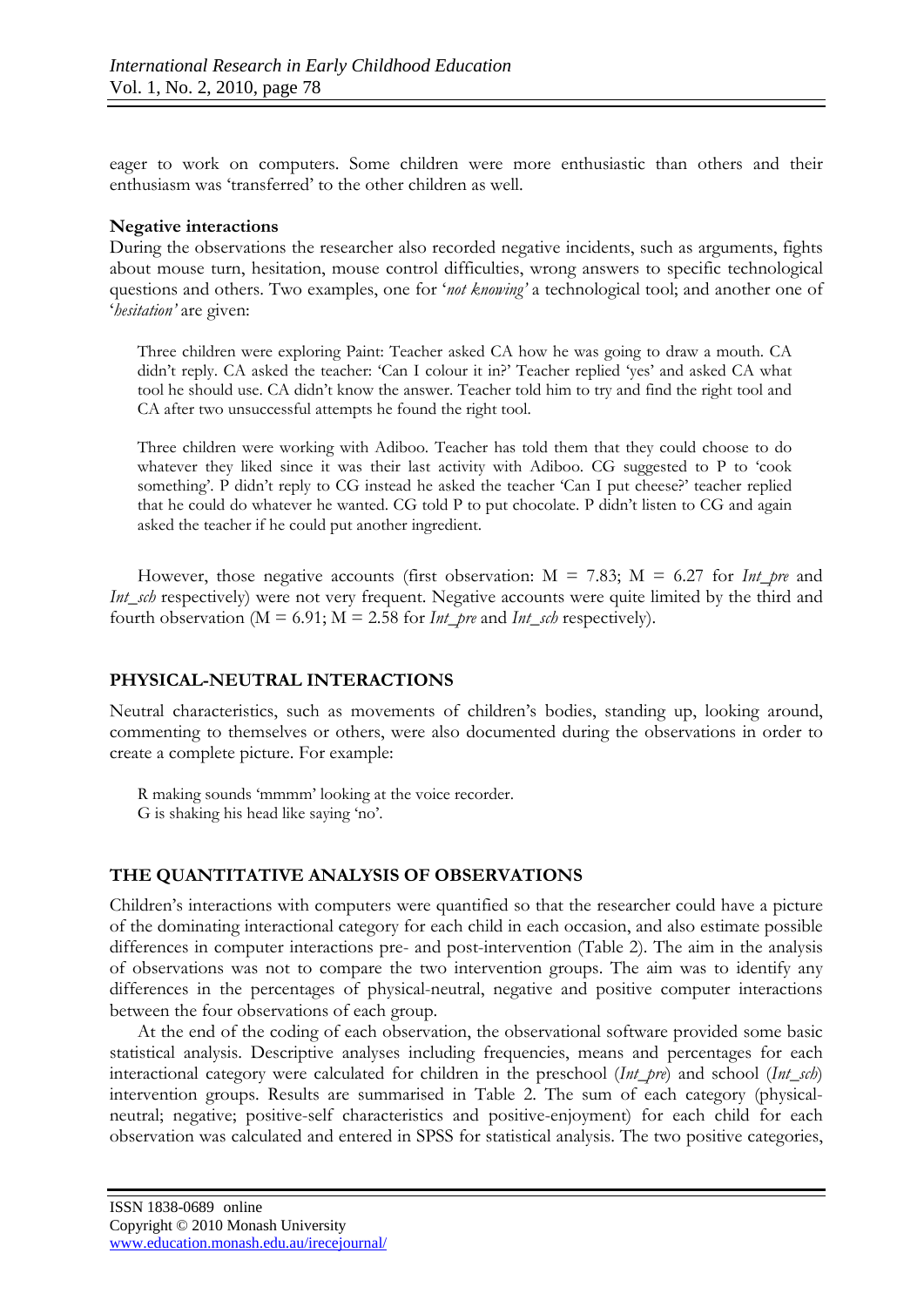eager to work on computers. Some children were more enthusiastic than others and their enthusiasm was 'transferred' to the other children as well.

## **Negative interactions**

During the observations the researcher also recorded negative incidents, such as arguments, fights about mouse turn, hesitation, mouse control difficulties, wrong answers to specific technological questions and others. Two examples, one for '*not knowing'* a technological tool; and another one of '*hesitation'* are given:

Three children were exploring Paint: Teacher asked CA how he was going to draw a mouth. CA didn't reply. CA asked the teacher: 'Can I colour it in?' Teacher replied 'yes' and asked CA what tool he should use. CA didn't know the answer. Teacher told him to try and find the right tool and CA after two unsuccessful attempts he found the right tool.

Three children were working with Adiboo. Teacher has told them that they could choose to do whatever they liked since it was their last activity with Adiboo. CG suggested to P to 'cook something'. P didn't reply to CG instead he asked the teacher 'Can I put cheese?' teacher replied that he could do whatever he wanted. CG told P to put chocolate. P didn't listen to CG and again asked the teacher if he could put another ingredient.

However, those negative accounts (first observation: M = 7.83; M = 6.27 for *Int\_pre* and *Int\_sch* respectively) were not very frequent. Negative accounts were quite limited by the third and fourth observation ( $M = 6.91$ ;  $M = 2.58$  for *Int\_pre* and *Int\_sch* respectively).

## **PHYSICAL-NEUTRAL INTERACTIONS**

Neutral characteristics, such as movements of children's bodies, standing up, looking around, commenting to themselves or others, were also documented during the observations in order to create a complete picture. For example:

R making sounds 'mmmm' looking at the voice recorder. G is shaking his head like saying 'no'.

## **THE QUANTITATIVE ANALYSIS OF OBSERVATIONS**

Children's interactions with computers were quantified so that the researcher could have a picture of the dominating interactional category for each child in each occasion, and also estimate possible differences in computer interactions pre- and post-intervention (Table 2). The aim in the analysis of observations was not to compare the two intervention groups. The aim was to identify any differences in the percentages of physical-neutral, negative and positive computer interactions between the four observations of each group.

At the end of the coding of each observation, the observational software provided some basic statistical analysis. Descriptive analyses including frequencies, means and percentages for each interactional category were calculated for children in the preschool (*Int\_pre*) and school (*Int\_sch*) intervention groups. Results are summarised in Table 2. The sum of each category (physicalneutral; negative; positive-self characteristics and positive-enjoyment) for each child for each observation was calculated and entered in SPSS for statistical analysis. The two positive categories,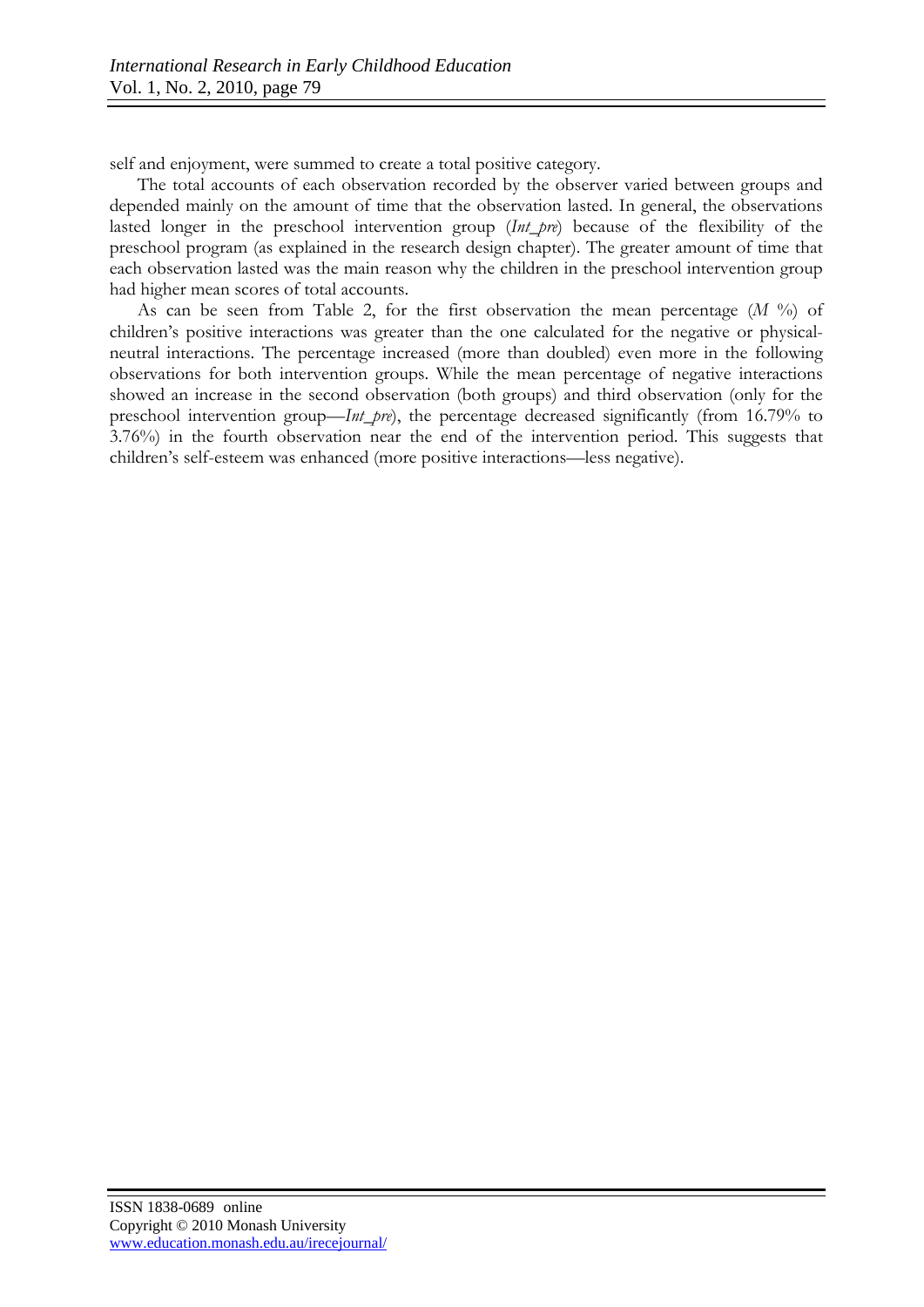self and enjoyment, were summed to create a total positive category.

The total accounts of each observation recorded by the observer varied between groups and depended mainly on the amount of time that the observation lasted. In general, the observations lasted longer in the preschool intervention group (*Int\_pre*) because of the flexibility of the preschool program (as explained in the research design chapter). The greater amount of time that each observation lasted was the main reason why the children in the preschool intervention group had higher mean scores of total accounts.

As can be seen from Table 2, for the first observation the mean percentage (*M* %) of children's positive interactions was greater than the one calculated for the negative or physicalneutral interactions. The percentage increased (more than doubled) even more in the following observations for both intervention groups. While the mean percentage of negative interactions showed an increase in the second observation (both groups) and third observation (only for the preschool intervention group—*Int\_pre*), the percentage decreased significantly (from 16.79% to 3.76%) in the fourth observation near the end of the intervention period. This suggests that children's self-esteem was enhanced (more positive interactions—less negative).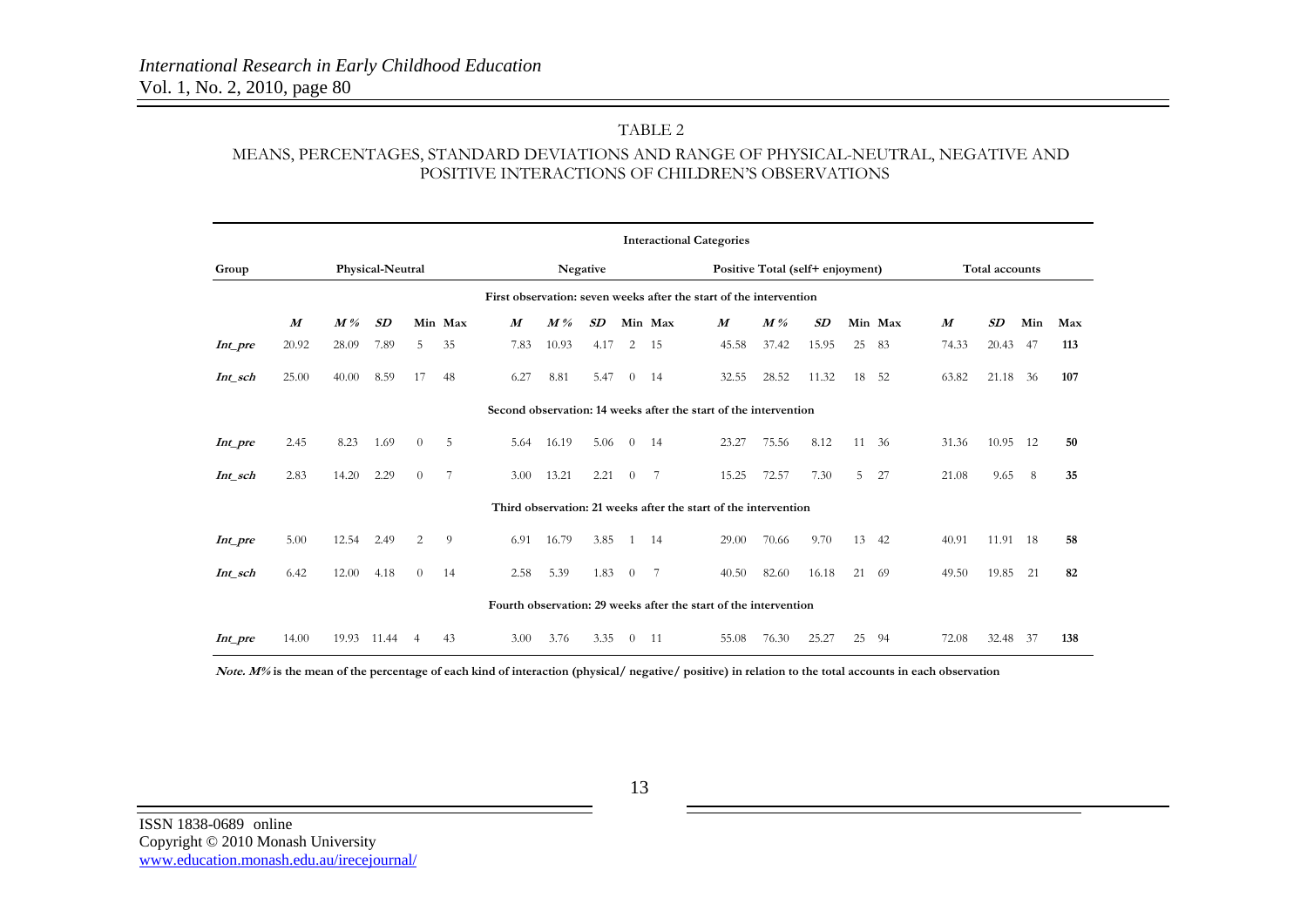### TABLE 2

### MEANS, PERCENTAGES, STANDARD DEVIATIONS AND RANGE OF PHYSICAL-NEUTRAL, NEGATIVE AND POSITIVE INTERACTIONS OF CHILDREN'S OBSERVATIONS

|                                                                  |                  |       |                  |          |                |                                                                    |       |          |              |         | <b>Interactional Categories</b> |                                  |       |    |         |                  |                |     |     |
|------------------------------------------------------------------|------------------|-------|------------------|----------|----------------|--------------------------------------------------------------------|-------|----------|--------------|---------|---------------------------------|----------------------------------|-------|----|---------|------------------|----------------|-----|-----|
| Group                                                            |                  |       | Physical-Neutral |          |                |                                                                    |       | Negative |              |         |                                 | Positive Total (self+ enjoyment) |       |    |         |                  | Total accounts |     |     |
|                                                                  |                  |       |                  |          |                | First observation: seven weeks after the start of the intervention |       |          |              |         |                                 |                                  |       |    |         |                  |                |     |     |
|                                                                  | $\boldsymbol{M}$ | M%    | SD               |          | Min Max        | $\boldsymbol{M}$                                                   | M%    | SD       |              | Min Max | $\boldsymbol{M}$                | M%                               | SD    |    | Min Max | $\boldsymbol{M}$ | SD             | Min | Max |
| Int_pre                                                          | 20.92            | 28.09 | 7.89             | 5        | 35             | 7.83                                                               | 10.93 | 4.17     | 2            | 15      | 45.58                           | 37.42                            | 15.95 | 25 | 83      | 74.33            | 20.43          | 47  | 113 |
| Int_sch                                                          | 25.00            | 40.00 | 8.59             | 17       | 48             | 6.27                                                               | 8.81  | 5.47     | $\theta$     | 14      | 32.55                           | 28.52                            | 11.32 | 18 | 52      | 63.82            | 21.18          | -36 | 107 |
| Second observation: 14 weeks after the start of the intervention |                  |       |                  |          |                |                                                                    |       |          |              |         |                                 |                                  |       |    |         |                  |                |     |     |
| Int_pre                                                          | 2.45             | 8.23  | 1.69             | $\theta$ | 5              | 5.64                                                               | 16.19 | 5.06     | $\theta$     | -14     | 23.27                           | 75.56                            | 8.12  | 11 | 36      | 31.36            | 10.95          | 12  | 50  |
| Int_sch                                                          | 2.83             | 14.20 | 2.29             | $\theta$ | $\overline{7}$ | 3.00                                                               | 13.21 | 2.21     | $\theta$     | 7       | 15.25                           | 72.57                            | 7.30  | 5  | 27      | 21.08            | 9.65           | -8  | 35  |
| Third observation: 21 weeks after the start of the intervention  |                  |       |                  |          |                |                                                                    |       |          |              |         |                                 |                                  |       |    |         |                  |                |     |     |
| Int_pre                                                          | 5.00             | 12.54 | 2.49             | 2        | 9              | 6.91                                                               | 16.79 | 3.85     | $\mathbf{1}$ | 14      | 29.00                           | 70.66                            | 9.70  | 13 | 42      | 40.91            | 11.91 18       |     | 58  |
| Int_sch                                                          | 6.42             | 12.00 | 4.18             | $\theta$ | 14             | 2.58                                                               | 5.39  | 1.83     | $\theta$     | 7       | 40.50                           | 82.60                            | 16.18 | 21 | -69     | 49.50            | 19.85          | 21  | 82  |
|                                                                  |                  |       |                  |          |                | Fourth observation: 29 weeks after the start of the intervention   |       |          |              |         |                                 |                                  |       |    |         |                  |                |     |     |
| Int_pre                                                          | 14.00            | 19.93 | 11.44            | 4        | 43             | 3.00                                                               | 3.76  | 3.35     | $\theta$     | 11      | 55.08                           | 76.30                            | 25.27 | 25 | 94      | 72.08            | 32.48          | -37 | 138 |

 **Note. M% is the mean of the percentage of each kind of interaction (physical/ negative/ positive) in relation to the total accounts in each observation**

ISSN 1838-0689 online Copyright © 2010 Monash University www.education.monash.edu.au/irecejournal/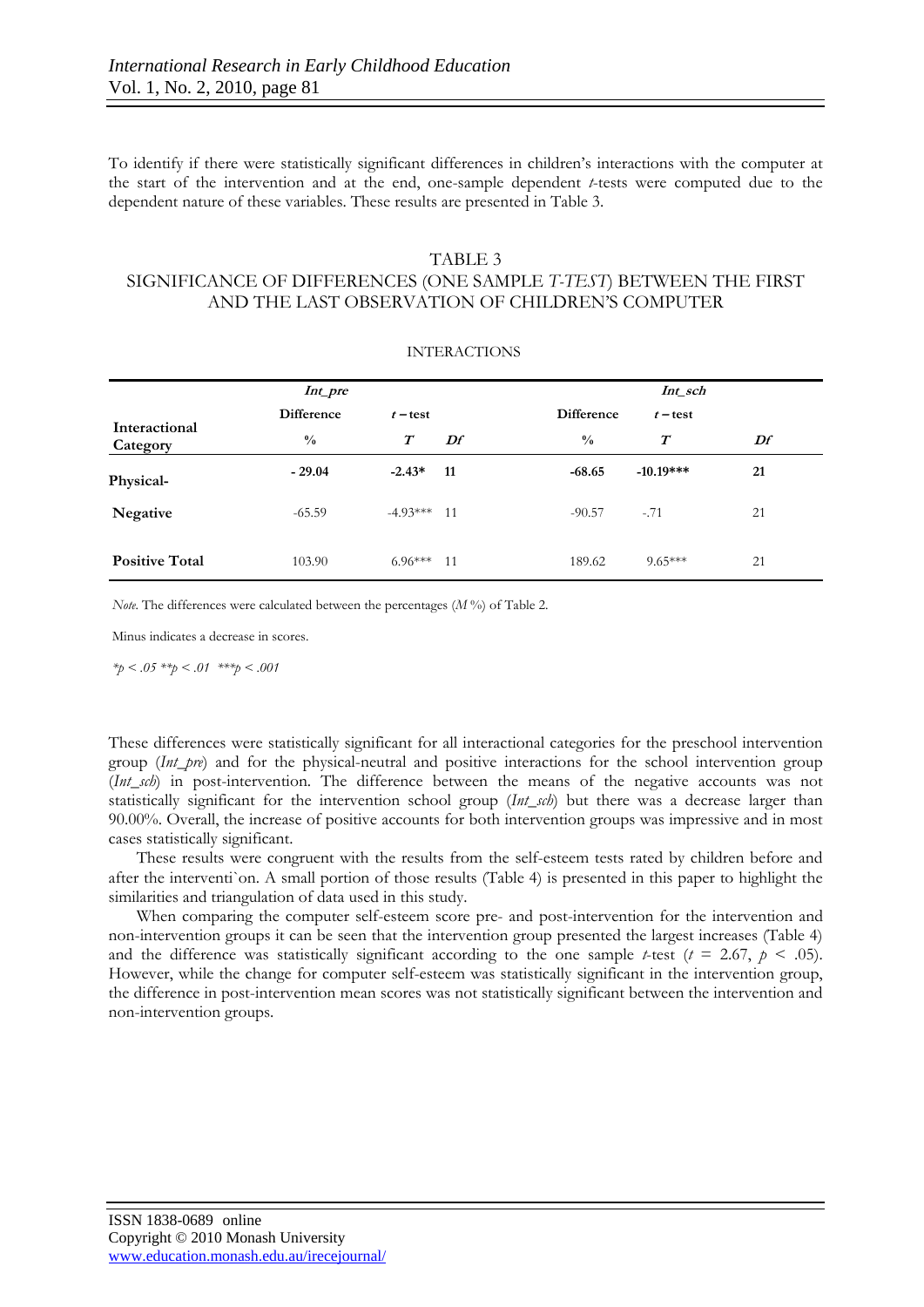To identify if there were statistically significant differences in children's interactions with the computer at the start of the intervention and at the end, one-sample dependent *t*-tests were computed due to the dependent nature of these variables. These results are presented in Table 3.

### TABLE 3

## SIGNIFICANCE OF DIFFERENCES (ONE SAMPLE *T-TEST*) BETWEEN THE FIRST AND THE LAST OBSERVATION OF CHILDREN'S COMPUTER

|                           | Int_pre           |                            |     |                   | Int sch                    |    |
|---------------------------|-------------------|----------------------------|-----|-------------------|----------------------------|----|
|                           | <b>Difference</b> | $t$ – test                 |     | <b>Difference</b> | $t$ – test                 |    |
| Interactional<br>Category | $\frac{0}{0}$     | $\boldsymbol{\mathcal{T}}$ | Df  | $\frac{0}{0}$     | $\boldsymbol{\mathcal{T}}$ | Df |
| Physical-                 | $-29.04$          | $-2.43*$                   | 11  | $-68.65$          | $-10.19***$                | 21 |
| Negative                  | $-65.59$          | $-4.93***$ 11              |     | $-90.57$          | $-.71$                     | 21 |
| <b>Positive Total</b>     | 103.90            | $6.96***$                  | -11 | 189.62            | $9.65***$                  | 21 |

#### INTERACTIONS

*Note.* The differences were calculated between the percentages (*M* %) of Table 2.

Minus indicates a decrease in scores.

 *\*p < .05 \*\*p < .01 \*\*\*p < .001* 

These differences were statistically significant for all interactional categories for the preschool intervention group (*Int pre*) and for the physical-neutral and positive interactions for the school intervention group (*Int\_sch*) in post-intervention. The difference between the means of the negative accounts was not statistically significant for the intervention school group (*Int\_sch*) but there was a decrease larger than 90.00%. Overall, the increase of positive accounts for both intervention groups was impressive and in most cases statistically significant.

These results were congruent with the results from the self-esteem tests rated by children before and after the interventi`on. A small portion of those results (Table 4) is presented in this paper to highlight the similarities and triangulation of data used in this study.

When comparing the computer self-esteem score pre- and post-intervention for the intervention and non-intervention groups it can be seen that the intervention group presented the largest increases (Table 4) and the difference was statistically significant according to the one sample *t*-test ( $t = 2.67$ ,  $p < .05$ ). However, while the change for computer self-esteem was statistically significant in the intervention group, the difference in post-intervention mean scores was not statistically significant between the intervention and non-intervention groups.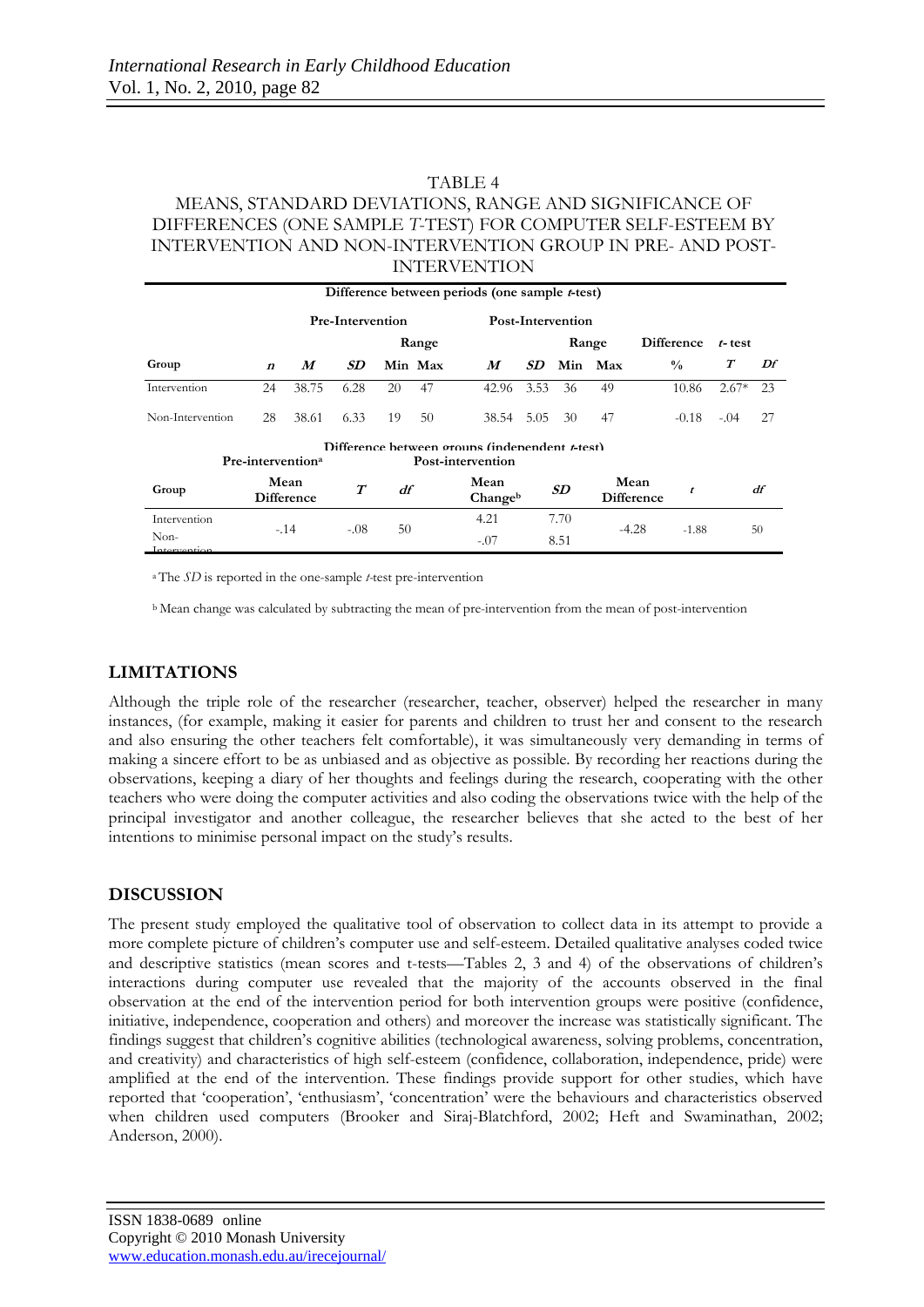## TABLE 4 MEANS, STANDARD DEVIATIONS, RANGE AND SIGNIFICANCE OF DIFFERENCES (ONE SAMPLE *T*-TEST) FOR COMPUTER SELF-ESTEEM BY INTERVENTION AND NON-INTERVENTION GROUP IN PRE- AND POST-INTERVENTION

|                      |                               |                           |                     |    |         | Difference between periods (one sample t-test)                      |      |                   |                           |                   |           |    |
|----------------------|-------------------------------|---------------------------|---------------------|----|---------|---------------------------------------------------------------------|------|-------------------|---------------------------|-------------------|-----------|----|
|                      |                               |                           | Pre-Intervention    |    |         |                                                                     |      | Post-Intervention |                           |                   |           |    |
|                      |                               |                           |                     |    | Range   |                                                                     |      |                   | Range                     | <b>Difference</b> | $t$ -test |    |
| Group                | $\boldsymbol{n}$              | $\boldsymbol{M}$          | SD.                 |    | Min Max | M                                                                   | SD.  |                   | Min Max                   | $\frac{0}{0}$     | $\tau$    | Df |
| Intervention         | 24                            | 38.75                     | 6.28                | 20 | 47      | 42.96                                                               | 3.53 | 36                | 49                        | 10.86             | $2.67*$   | 23 |
| Non-Intervention     | 28                            | 38.61                     | 6.33                | 19 | 50      | 38.54                                                               | 5.05 | 30                | 47                        | $-0.18$           | $-.04$    | 27 |
|                      | Pre-intervention <sup>a</sup> |                           |                     |    |         | Difference between groups (independent t-test)<br>Post-intervention |      |                   |                           |                   |           |    |
| Group                |                               | Mean<br><b>Difference</b> | $\boldsymbol{\tau}$ | df |         | Mean<br>Changeb                                                     |      | SD                | Mean<br><b>Difference</b> |                   |           | df |
| Intervention<br>Non- |                               | $-.14$                    | $-.08$              | 50 |         | 4.21<br>$-.07$                                                      |      | 7.70<br>8.51      | $-4.28$                   | $-1.88$           |           | 50 |
| Intervention         |                               |                           |                     |    |         |                                                                     |      |                   |                           |                   |           |    |

a The *SD* is reported in the one-sample *t-*test pre-intervention

b Mean change was calculated by subtracting the mean of pre-intervention from the mean of post-intervention

## **LIMITATIONS**

Although the triple role of the researcher (researcher, teacher, observer) helped the researcher in many instances, (for example, making it easier for parents and children to trust her and consent to the research and also ensuring the other teachers felt comfortable), it was simultaneously very demanding in terms of making a sincere effort to be as unbiased and as objective as possible. By recording her reactions during the observations, keeping a diary of her thoughts and feelings during the research, cooperating with the other teachers who were doing the computer activities and also coding the observations twice with the help of the principal investigator and another colleague, the researcher believes that she acted to the best of her intentions to minimise personal impact on the study's results.

## **DISCUSSION**

The present study employed the qualitative tool of observation to collect data in its attempt to provide a more complete picture of children's computer use and self-esteem. Detailed qualitative analyses coded twice and descriptive statistics (mean scores and t-tests—Tables 2, 3 and 4) of the observations of children's interactions during computer use revealed that the majority of the accounts observed in the final observation at the end of the intervention period for both intervention groups were positive (confidence, initiative, independence, cooperation and others) and moreover the increase was statistically significant. The findings suggest that children's cognitive abilities (technological awareness, solving problems, concentration, and creativity) and characteristics of high self-esteem (confidence, collaboration, independence, pride) were amplified at the end of the intervention. These findings provide support for other studies, which have reported that 'cooperation', 'enthusiasm', 'concentration' were the behaviours and characteristics observed when children used computers (Brooker and Siraj-Blatchford, 2002; Heft and Swaminathan, 2002; Anderson, 2000).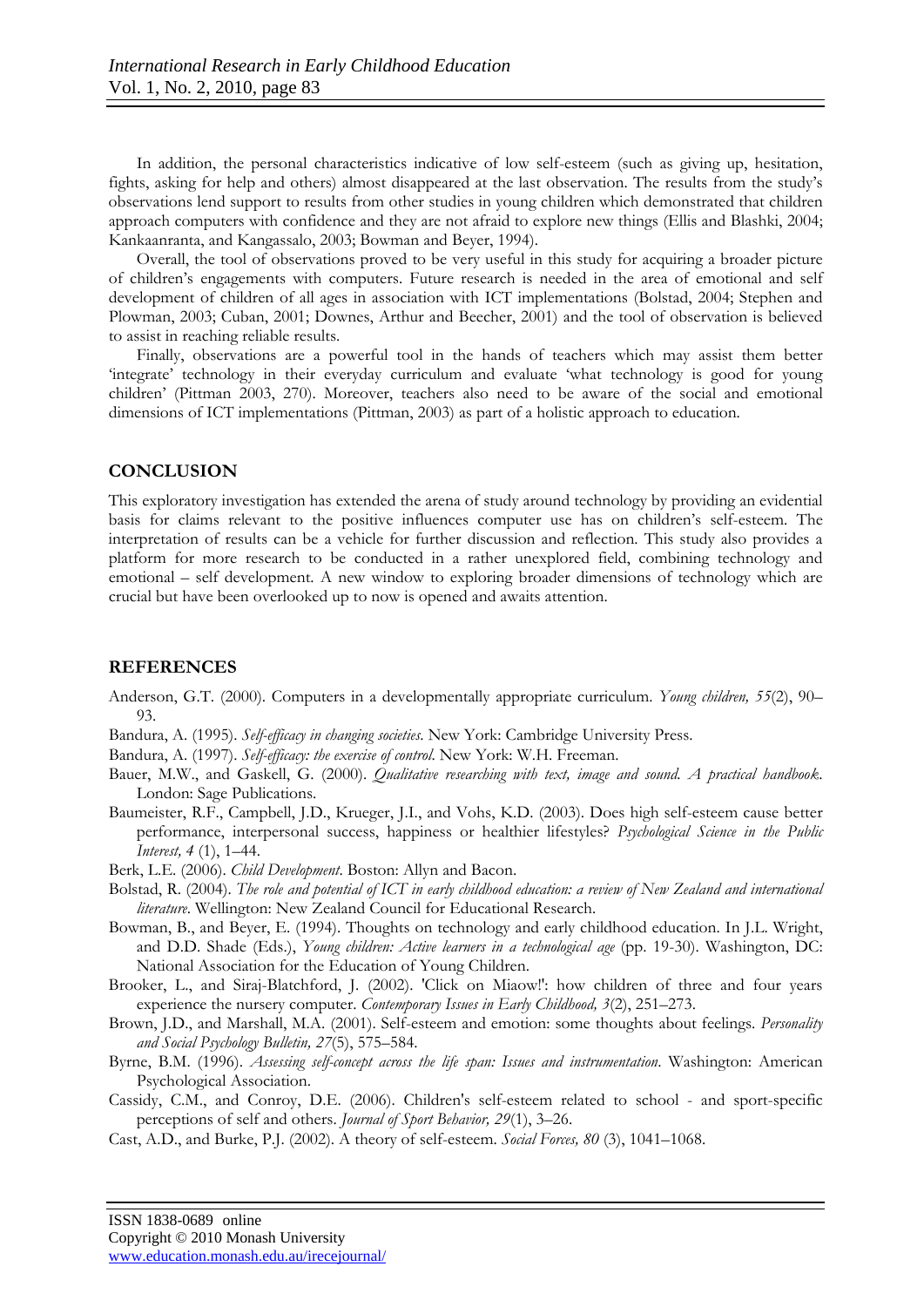In addition, the personal characteristics indicative of low self-esteem (such as giving up, hesitation, fights, asking for help and others) almost disappeared at the last observation. The results from the study's observations lend support to results from other studies in young children which demonstrated that children approach computers with confidence and they are not afraid to explore new things (Ellis and Blashki, 2004; Kankaanranta, and Kangassalo, 2003; Bowman and Beyer, 1994).

Overall, the tool of observations proved to be very useful in this study for acquiring a broader picture of children's engagements with computers. Future research is needed in the area of emotional and self development of children of all ages in association with ICT implementations (Bolstad, 2004; Stephen and Plowman, 2003; Cuban, 2001; Downes, Arthur and Beecher, 2001) and the tool of observation is believed to assist in reaching reliable results.

Finally, observations are a powerful tool in the hands of teachers which may assist them better 'integrate' technology in their everyday curriculum and evaluate 'what technology is good for young children' (Pittman 2003, 270). Moreover, teachers also need to be aware of the social and emotional dimensions of ICT implementations (Pittman, 2003) as part of a holistic approach to education.

### **CONCLUSION**

This exploratory investigation has extended the arena of study around technology by providing an evidential basis for claims relevant to the positive influences computer use has on children's self-esteem. The interpretation of results can be a vehicle for further discussion and reflection. This study also provides a platform for more research to be conducted in a rather unexplored field, combining technology and emotional – self development. A new window to exploring broader dimensions of technology which are crucial but have been overlooked up to now is opened and awaits attention.

### **REFERENCES**

- Anderson, G.T. (2000). Computers in a developmentally appropriate curriculum. *Young children, 55*(2), 90– 93.
- Bandura, A. (1995). *Self-efficacy in changing societies*. New York: Cambridge University Press.
- Bandura, A. (1997). *Self-efficacy: the exercise of control*. New York: W.H. Freeman.
- Bauer, M.W., and Gaskell, G. (2000). *Qualitative researching with text, image and sound. A practical handbook*. London: Sage Publications.
- Baumeister, R.F., Campbell, J.D., Krueger, J.I., and Vohs, K.D. (2003). Does high self-esteem cause better performance, interpersonal success, happiness or healthier lifestyles? *Psychological Science in the Public Interest, 4* (1), 1–44.

Berk, L.E. (2006). *Child Development*. Boston: Allyn and Bacon.

- Bolstad, R. (2004). *The role and potential of ICT in early childhood education: a review of New Zealand and international literature*. Wellington: New Zealand Council for Educational Research.
- Bowman, B., and Beyer, E. (1994). Thoughts on technology and early childhood education. In J.L. Wright, and D.D. Shade (Eds.), *Young children: Active learners in a technological age* (pp. 19-30). Washington, DC: National Association for the Education of Young Children.
- Brooker, L., and Siraj-Blatchford, J. (2002). 'Click on Miaow!': how children of three and four years experience the nursery computer. *Contemporary Issues in Early Childhood, 3*(2), 251–273.
- Brown, J.D., and Marshall, M.A. (2001). Self-esteem and emotion: some thoughts about feelings. *Personality and Social Psychology Bulletin, 27*(5), 575–584.
- Byrne, B.M. (1996). *Assessing self-concept across the life span: Issues and instrumentation*. Washington: American Psychological Association.
- Cassidy, C.M., and Conroy, D.E. (2006). Children's self-esteem related to school and sport-specific perceptions of self and others. *Journal of Sport Behavior, 29*(1), 3–26.
- Cast, A.D., and Burke, P.J. (2002). A theory of self-esteem. *Social Forces, 80* (3), 1041–1068.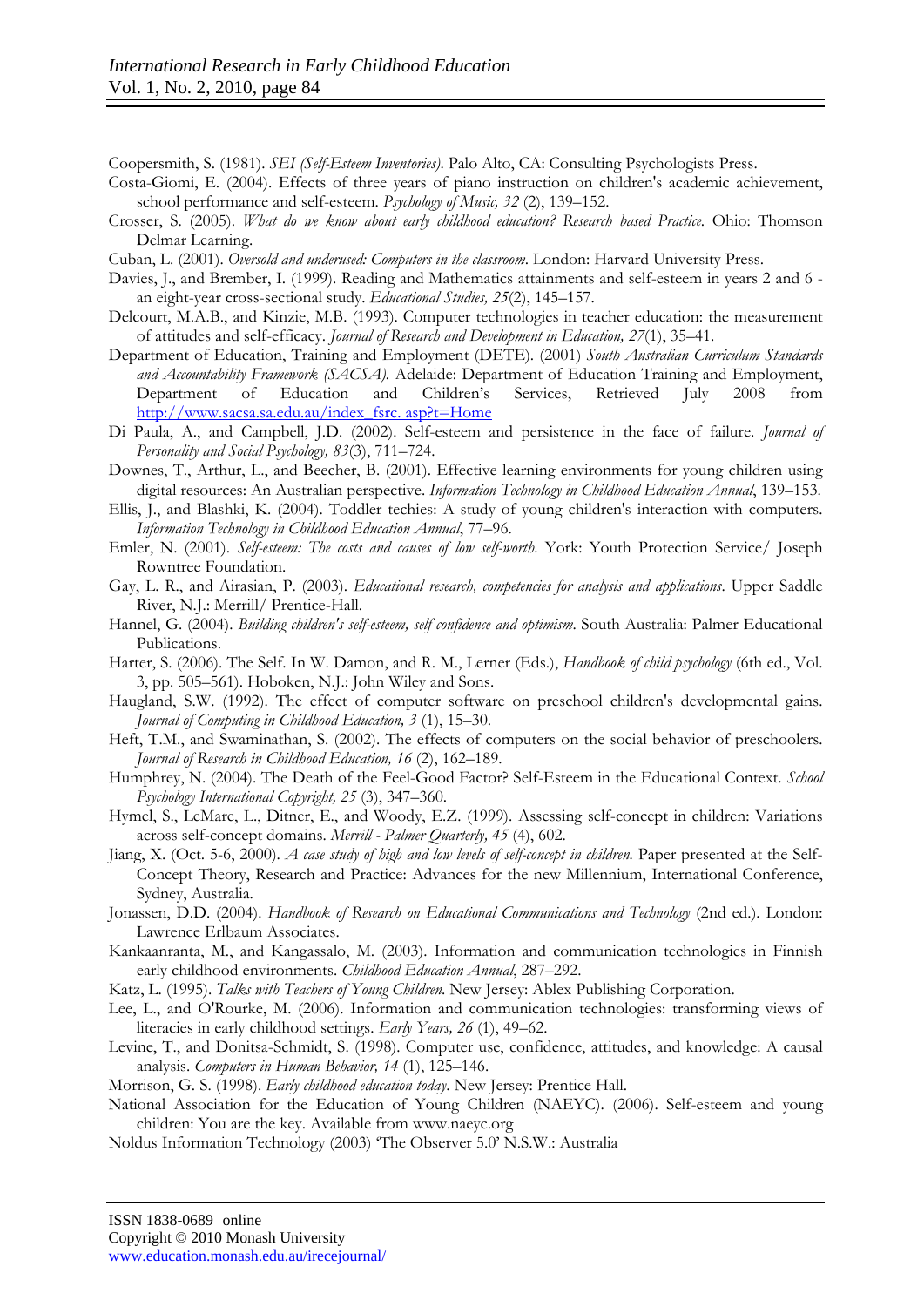Coopersmith, S. (1981). *SEI (Self-Esteem Inventories)*. Palo Alto, CA: Consulting Psychologists Press.

- Costa-Giomi, E. (2004). Effects of three years of piano instruction on children's academic achievement, school performance and self-esteem. *Psychology of Music, 32* (2), 139–152.
- Crosser, S. (2005). *What do we know about early childhood education? Research based Practice*. Ohio: Thomson Delmar Learning.
- Cuban, L. (2001). *Oversold and underused: Computers in the classroom*. London: Harvard University Press.
- Davies, J., and Brember, I. (1999). Reading and Mathematics attainments and self-esteem in years 2 and 6 an eight-year cross-sectional study. *Educational Studies, 25*(2), 145–157.
- Delcourt, M.A.B., and Kinzie, M.B. (1993). Computer technologies in teacher education: the measurement of attitudes and self-efficacy. *Journal of Research and Development in Education, 27*(1), 35–41.
- Department of Education, Training and Employment (DETE). (2001) *South Australian Curriculum Standards and Accountability Framework (SACSA).* Adelaide: Department of Education Training and Employment, Department of Education and Children's Services, Retrieved July 2008 from [http://www.sacsa.sa.edu.au/index\\_fsrc. asp?t=Home](http://www.sacsa.sa.edu.au/index_fsrc.%20asp?t=Home)
- Di Paula, A., and Campbell, J.D. (2002). Self-esteem and persistence in the face of failure. *Journal of Personality and Social Psychology, 83*(3), 711–724.
- Downes, T., Arthur, L., and Beecher, B. (2001). Effective learning environments for young children using digital resources: An Australian perspective. *Information Technology in Childhood Education Annual*, 139–153.
- Ellis, J., and Blashki, K. (2004). Toddler techies: A study of young children's interaction with computers. *Information Technology in Childhood Education Annual*, 77–96.
- Emler, N. (2001). *Self-esteem: The costs and causes of low self-worth*. York: Youth Protection Service/ Joseph Rowntree Foundation.
- Gay, L. R., and Airasian, P. (2003). *Educational research, competencies for analysis and applications*. Upper Saddle River, N.J.: Merrill/ Prentice-Hall.
- Hannel, G. (2004). *Building children's self-esteem, self confidence and optimism*. South Australia: Palmer Educational Publications.
- Harter, S. (2006). The Self. In W. Damon, and R. M., Lerner (Eds.), *Handbook of child psychology* (6th ed., Vol. 3, pp. 505–561). Hoboken, N.J.: John Wiley and Sons.
- Haugland, S.W. (1992). The effect of computer software on preschool children's developmental gains. *Journal of Computing in Childhood Education, 3* (1), 15–30.
- Heft, T.M., and Swaminathan, S. (2002). The effects of computers on the social behavior of preschoolers. *Journal of Research in Childhood Education, 16* (2), 162–189.
- Humphrey, N. (2004). The Death of the Feel-Good Factor? Self-Esteem in the Educational Context. *School Psychology International Copyright, 25* (3), 347–360.
- Hymel, S., LeMare, L., Ditner, E., and Woody, E.Z. (1999). Assessing self-concept in children: Variations across self-concept domains. *Merrill - Palmer Quarterly, 45* (4), 602.
- Jiang, X. (Oct. 5-6, 2000). *A case study of high and low levels of self-concept in children.* Paper presented at the Self-Concept Theory, Research and Practice: Advances for the new Millennium, International Conference, Sydney, Australia.
- Jonassen, D.D. (2004). *Handbook of Research on Educational Communications and Technology* (2nd ed.). London: Lawrence Erlbaum Associates.
- Kankaanranta, M., and Kangassalo, M. (2003). Information and communication technologies in Finnish early childhood environments. *Childhood Education Annual*, 287–292.
- Katz, L. (1995). *Talks with Teachers of Young Children*. New Jersey: Ablex Publishing Corporation.
- Lee, L., and O'Rourke, M. (2006). Information and communication technologies: transforming views of literacies in early childhood settings. *Early Years, 26* (1), 49–62.
- Levine, T., and Donitsa-Schmidt, S. (1998). Computer use, confidence, attitudes, and knowledge: A causal analysis. *Computers in Human Behavior, 14* (1), 125–146.
- Morrison, G. S. (1998). *Early childhood education today*. New Jersey: Prentice Hall.
- National Association for the Education of Young Children (NAEYC). (2006). Self-esteem and young children: You are the key. Available from www.naeyc.org
- Noldus Information Technology (2003) 'The Observer 5.0' N.S.W.: Australia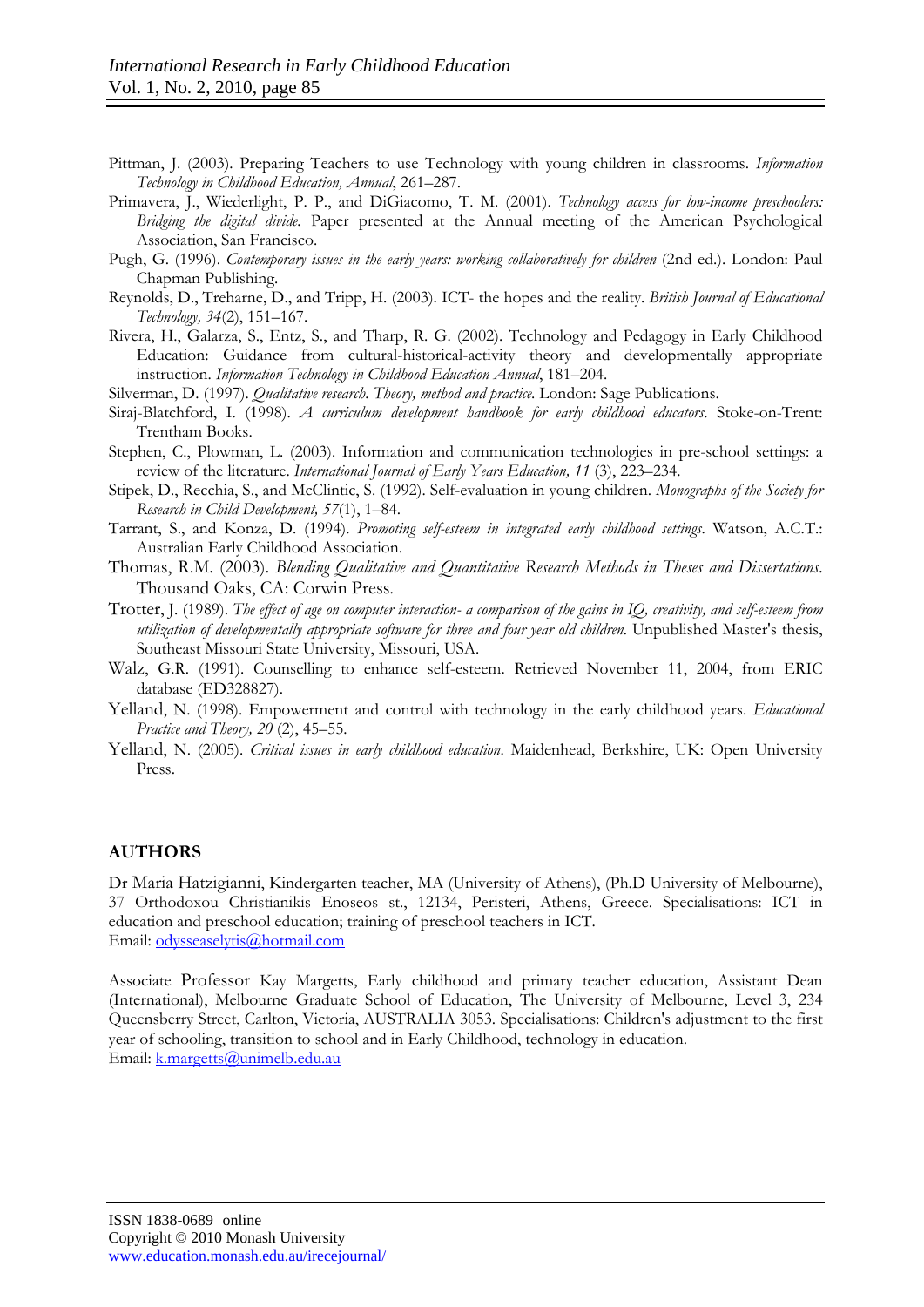- Pittman, J. (2003). Preparing Teachers to use Technology with young children in classrooms. *Information Technology in Childhood Education, Annual*, 261–287.
- Primavera, J., Wiederlight, P. P., and DiGiacomo, T. M. (2001). *Technology access for low-income preschoolers: Bridging the digital divide.* Paper presented at the Annual meeting of the American Psychological Association, San Francisco.
- Pugh, G. (1996). *Contemporary issues in the early years: working collaboratively for children* (2nd ed.). London: Paul Chapman Publishing.
- Reynolds, D., Treharne, D., and Tripp, H. (2003). ICT- the hopes and the reality. *British Journal of Educational Technology, 34*(2), 151–167.
- Rivera, H., Galarza, S., Entz, S., and Tharp, R. G. (2002). Technology and Pedagogy in Early Childhood Education: Guidance from cultural-historical-activity theory and developmentally appropriate instruction. *Information Technology in Childhood Education Annual*, 181–204.
- Silverman, D. (1997). *Qualitative research. Theory, method and practice*. London: Sage Publications.
- Siraj-Blatchford, I. (1998). *A curriculum development handbook for early childhood educators*. Stoke-on-Trent: Trentham Books.
- Stephen, C., Plowman, L. (2003). Information and communication technologies in pre-school settings: a review of the literature. *International Journal of Early Years Education, 11* (3), 223–234.
- Stipek, D., Recchia, S., and McClintic, S. (1992). Self-evaluation in young children. *Monographs of the Society for Research in Child Development, 57*(1), 1–84.
- Tarrant, S., and Konza, D. (1994). *Promoting self-esteem in integrated early childhood settings*. Watson, A.C.T.: Australian Early Childhood Association.
- Thomas, R.M. (2003). *Blending Qualitative and Quantitative Research Methods in Theses and Dissertations*. Thousand Oaks, CA: Corwin Press.
- Trotter, J. (1989). *The effect of age on computer interaction- a comparison of the gains in IQ, creativity, and self-esteem from utilization of developmentally appropriate software for three and four year old children.* Unpublished Master's thesis, Southeast Missouri State University, Missouri, USA.
- Walz, G.R. (1991). Counselling to enhance self-esteem. Retrieved November 11, 2004, from ERIC database (ED328827).
- Yelland, N. (1998). Empowerment and control with technology in the early childhood years. *Educational Practice and Theory, 20* (2), 45–55.
- Yelland, N. (2005). *Critical issues in early childhood education*. Maidenhead, Berkshire, UK: Open University Press.

### **AUTHORS**

Dr Maria Hatzigianni, Kindergarten teacher, MA (University of Athens), (Ph.D University of Melbourne), 37 Orthodoxou Christianikis Enoseos st., 12134, Peristeri, Athens, Greece. Specialisations: ICT in education and preschool education; training of preschool teachers in ICT. Email: [odysseaselytis@hotmail.com](mailto:odysseaselytis@hotmail.com)

Associate Professor Kay Margetts, Early childhood and primary teacher education, Assistant Dean (International), Melbourne Graduate School of Education, The University of Melbourne, Level 3, 234 Queensberry Street, Carlton, Victoria, AUSTRALIA 3053. Specialisations: Children's adjustment to the first year of schooling, transition to school and in Early Childhood, technology in education. Email: [k.margetts@unimelb.edu.au](mailto:k.margetts@unimelb.edu.au)